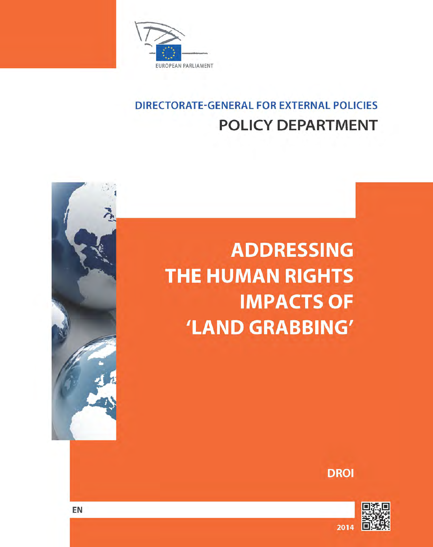

# **DIRECTORATE-GENERAL FOR EXTERNAL POLICIES POLICY DEPARTMENT**

# **ADDRESSING THE HUMAN RIGHTS IMPACTS OF** 'LAND GRABBING'

**DROI** 



**EN**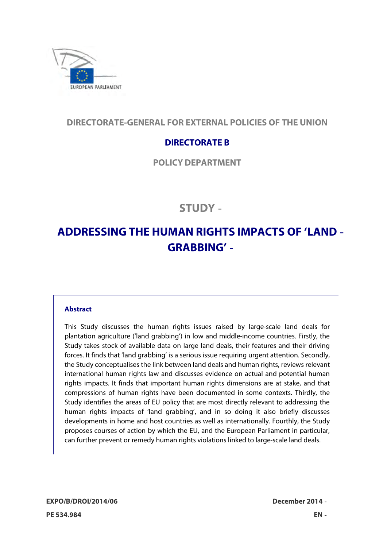

## **DIRECTORATE-GENERAL FOR EXTERNAL POLICIES OF THE UNION**

# **DIRECTORATE B**

**POLICY DEPARTMENT** 

# **STUDY**

# **ADDRESSING THE HUMAN RIGHTS IMPACTS OF 'LAND GRABBING'**

### **Abstract**

 This Study discusses the human rights issues raised by large-scale land deals for plantation agriculture ('land grabbing') in low and middle-income countries. Firstly, the Study takes stock of available data on large land deals, their features and their driving forces. It finds that 'land grabbing' is a serious issue requiring urgent attention. Secondly, the Study conceptualises the link between land deals and human rights, reviews relevant international human rights law and discusses evidence on actual and potential human rights impacts. It finds that important human rights dimensions are at stake, and that compressions of human rights have been documented in some contexts. Thirdly, the Study identifies the areas of EU policy that are most directly relevant to addressing the human rights impacts of 'land grabbing', and in so doing it also briefly discusses developments in home and host countries as well as internationally. Fourthly, the Study proposes courses of action by which the EU, and the European Parliament in particular, can further prevent or remedy human rights violations linked to large-scale land deals.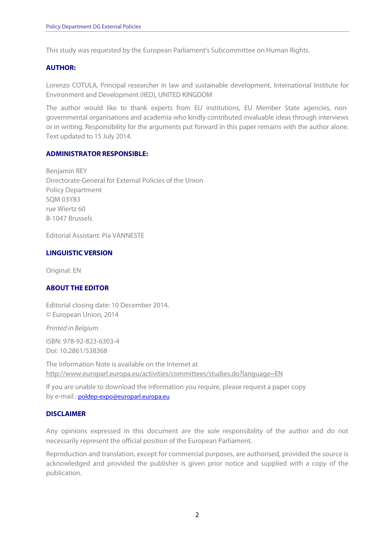This study was requested by the European Parliament's Subcommittee on Human Rights.

### **AUTHOR:**

 Lorenzo COTULA, Principal researcher in law and sustainable development, International Institute for Environment and Development (IIED), UNITED KINGDOM

 The author would like to thank experts from EU institutions, EU Member State agencies, non- governmental organisations and academia who kindly contributed invaluable ideas through interviews or in writing. Responsibility for the arguments put forward in this paper remains with the author alone. Text updated to 15 July 2014.

### **ADMINISTRATOR RESPONSIBLE:**

 Directorate-General for External Policies of the Union rue Wiertz 60 Benjamin REY Policy Department SQM 03Y83 B-1047 Brussels

Editorial Assistant: Pia VANNESTE

### **LINGUISTIC VERSION**

Original: EN

### **ABOUT THE EDITOR**

 Editorial closing date: 10 December 2014. © European Union, 2014

Printed in Belgium

ISBN: 978-92-823-6303-4 Doi: 10.2861/538368

 The Information Note is available on the Internet at http://www.europarl.europa.eu/activities/committees/studies.do?language=EN

 If you are unable to download the information you require, please request a paper copy by e-mail : poldep-expo@europarl.europa.eu

### **DISCLAIMER**

 Any opinions expressed in this document are the sole responsibility of the author and do not necessarily represent the official position of the European Parliament.

 Reproduction and translation, except for commercial purposes, are authorised, provided the source is acknowledged and provided the publisher is given prior notice and supplied with a copy of the publication.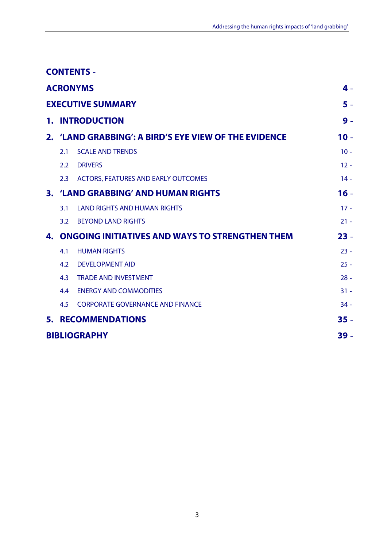|                     |                                                           | <b>CONTENTS -</b>                                     |        |
|---------------------|-----------------------------------------------------------|-------------------------------------------------------|--------|
| <b>ACRONYMS</b>     |                                                           |                                                       |        |
|                     |                                                           | <b>EXECUTIVE SUMMARY</b>                              | $5 -$  |
| 1.                  |                                                           | <b>INTRODUCTION</b>                                   | $9 -$  |
|                     |                                                           | 2. 'LAND GRABBING': A BIRD'S EYE VIEW OF THE EVIDENCE | $10 -$ |
|                     | 2.1                                                       | <b>SCALE AND TRENDS</b>                               | $10 -$ |
|                     | 2.2                                                       | <b>DRIVERS</b>                                        | $12 -$ |
|                     | 2.3                                                       | <b>ACTORS, FEATURES AND EARLY OUTCOMES</b>            | $14 -$ |
|                     | 3. 'LAND GRABBING' AND HUMAN RIGHTS                       |                                                       |        |
|                     | 3.1                                                       | <b>LAND RIGHTS AND HUMAN RIGHTS</b>                   | $17 -$ |
|                     | 3.2                                                       | <b>BEYOND LAND RIGHTS</b>                             | $21 -$ |
|                     | <b>4. ONGOING INITIATIVES AND WAYS TO STRENGTHEN THEM</b> |                                                       |        |
|                     | 4.1                                                       | <b>HUMAN RIGHTS</b>                                   | $23 -$ |
|                     | 4.2                                                       | <b>DEVELOPMENT AID</b>                                | $25 -$ |
|                     | 4.3                                                       | <b>TRADE AND INVESTMENT</b>                           | $28 -$ |
|                     | 4.4                                                       | <b>ENERGY AND COMMODITIES</b>                         | $31 -$ |
|                     | 4.5                                                       | <b>CORPORATE GOVERNANCE AND FINANCE</b>               | $34 -$ |
| 5.                  |                                                           | <b>RECOMMENDATIONS</b>                                | $35 -$ |
| <b>BIBLIOGRAPHY</b> |                                                           |                                                       |        |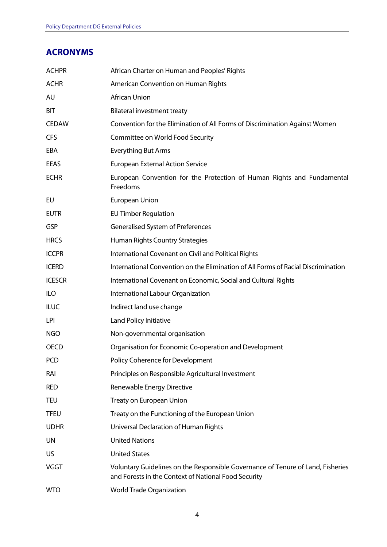# <span id="page-4-0"></span>**ACRONYMS**

| <b>ACHPR</b>  | African Charter on Human and Peoples' Rights                                                                                            |
|---------------|-----------------------------------------------------------------------------------------------------------------------------------------|
| <b>ACHR</b>   | American Convention on Human Rights                                                                                                     |
| AU            | African Union                                                                                                                           |
| BIT           | <b>Bilateral investment treaty</b>                                                                                                      |
| <b>CEDAW</b>  | Convention for the Elimination of All Forms of Discrimination Against Women                                                             |
| <b>CFS</b>    | Committee on World Food Security                                                                                                        |
| EBA           | <b>Everything But Arms</b>                                                                                                              |
| EEAS          | <b>European External Action Service</b>                                                                                                 |
| <b>ECHR</b>   | European Convention for the Protection of Human Rights and Fundamental<br>Freedoms                                                      |
| EU            | European Union                                                                                                                          |
| <b>EUTR</b>   | <b>EU Timber Regulation</b>                                                                                                             |
| GSP           | <b>Generalised System of Preferences</b>                                                                                                |
| <b>HRCS</b>   | Human Rights Country Strategies                                                                                                         |
| <b>ICCPR</b>  | International Covenant on Civil and Political Rights                                                                                    |
| <b>ICERD</b>  | International Convention on the Elimination of All Forms of Racial Discrimination                                                       |
| <b>ICESCR</b> | International Covenant on Economic, Social and Cultural Rights                                                                          |
| <b>ILO</b>    | International Labour Organization                                                                                                       |
| <b>ILUC</b>   | Indirect land use change                                                                                                                |
| LPI           | Land Policy Initiative                                                                                                                  |
| <b>NGO</b>    | Non-governmental organisation                                                                                                           |
| <b>OECD</b>   | Organisation for Economic Co-operation and Development                                                                                  |
| <b>PCD</b>    | Policy Coherence for Development                                                                                                        |
| RAI           | Principles on Responsible Agricultural Investment                                                                                       |
| <b>RED</b>    | Renewable Energy Directive                                                                                                              |
| <b>TEU</b>    | Treaty on European Union                                                                                                                |
| <b>TFEU</b>   | Treaty on the Functioning of the European Union                                                                                         |
| <b>UDHR</b>   | Universal Declaration of Human Rights                                                                                                   |
| <b>UN</b>     | <b>United Nations</b>                                                                                                                   |
| <b>US</b>     | <b>United States</b>                                                                                                                    |
| <b>VGGT</b>   | Voluntary Guidelines on the Responsible Governance of Tenure of Land, Fisheries<br>and Forests in the Context of National Food Security |
| <b>WTO</b>    | World Trade Organization                                                                                                                |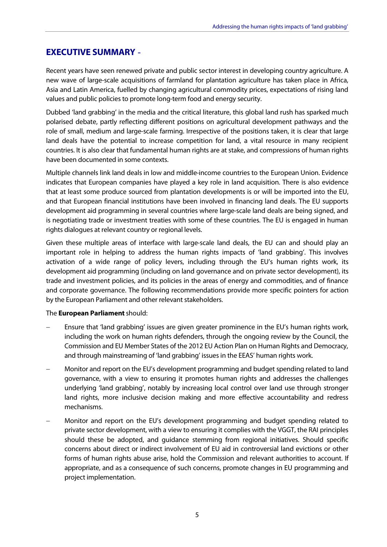# **EXECUTIVE SUMMARY**

 Recent years have seen renewed private and public sector interest in developing country agriculture. A new wave of large-scale acquisitions of farmland for plantation agriculture has taken place in Africa, Asia and Latin America, fuelled by changing agricultural commodity prices, expectations of rising land values and public policies to promote long-term food and energy security.

 Dubbed 'land grabbing' in the media and the critical literature, this global land rush has sparked much polarised debate, partly reflecting different positions on agricultural development pathways and the role of small, medium and large-scale farming. Irrespective of the positions taken, it is clear that large land deals have the potential to increase competition for land, a vital resource in many recipient countries. It is also clear that fundamental human rights are at stake, and compressions of human rights have been documented in some contexts.

 Multiple channels link land deals in low and middle-income countries to the European Union. Evidence indicates that European companies have played a key role in land acquisition. There is also evidence that at least some produce sourced from plantation developments is or will be imported into the EU, and that European financial institutions have been involved in financing land deals. The EU supports development aid programming in several countries where large-scale land deals are being signed, and is negotiating trade or investment treaties with some of these countries. The EU is engaged in human rights dialogues at relevant country or regional levels.

 Given these multiple areas of interface with large-scale land deals, the EU can and should play an important role in helping to address the human rights impacts of 'land grabbing'. This involves activation of a wide range of policy levers, including through the EU's human rights work, its development aid programming (including on land governance and on private sector development), its trade and investment policies, and its policies in the areas of energy and commodities, and of finance and corporate governance. The following recommendations provide more specific pointers for action by the European Parliament and other relevant stakeholders.

### The **European Parliament** should:

- Ensure that 'land grabbing' issues are given greater prominence in the EU's human rights work, including the work on human rights defenders, through the ongoing review by the Council, the Commission and EU Member States of the 2012 EU Action Plan on Human Rights and Democracy, and through mainstreaming of 'land grabbing' issues in the EEAS' human rights work.
- Monitor and report on the EU's development programming and budget spending related to land governance, with a view to ensuring it promotes human rights and addresses the challenges underlying 'land grabbing', notably by increasing local control over land use through stronger land rights, more inclusive decision making and more effective accountability and redress mechanisms.
- Monitor and report on the EU's development programming and budget spending related to private sector development, with a view to ensuring it complies with the VGGT, the RAI principles should these be adopted, and guidance stemming from regional initiatives. Should specific concerns about direct or indirect involvement of EU aid in controversial land evictions or other forms of human rights abuse arise, hold the Commission and relevant authorities to account. If appropriate, and as a consequence of such concerns, promote changes in EU programming and project implementation.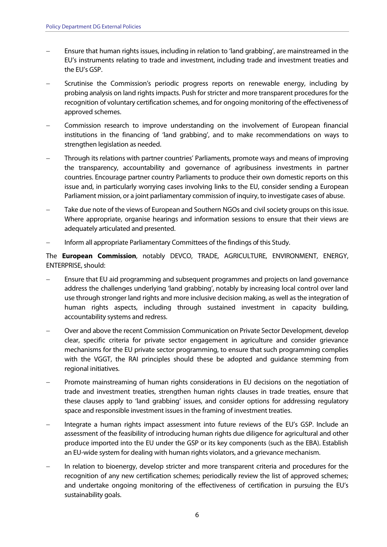- Ensure that human rights issues, including in relation to 'land grabbing', are mainstreamed in the EU's instruments relating to trade and investment, including trade and investment treaties and the EU's GSP.
- Scrutinise the Commission's periodic progress reports on renewable energy, including by probing analysis on land rights impacts. Push for stricter and more transparent procedures for the recognition of voluntary certification schemes, and for ongoing monitoring of the effectiveness of approved schemes.
- Commission research to improve understanding on the involvement of European financial institutions in the financing of 'land grabbing', and to make recommendations on ways to strengthen legislation as needed.
- Through its relations with partner countries' Parliaments, promote ways and means of improving the transparency, accountability and governance of agribusiness investments in partner countries. Encourage partner country Parliaments to produce their own domestic reports on this issue and, in particularly worrying cases involving links to the EU, consider sending a European Parliament mission, or a joint parliamentary commission of inquiry, to investigate cases of abuse.
- Take due note of the views of European and Southern NGOs and civil society groups on this issue. Where appropriate, organise hearings and information sessions to ensure that their views are adequately articulated and presented.
- Inform all appropriate Parliamentary Committees of the findings of this Study.

 The **European Commission**, notably DEVCO, TRADE, AGRICULTURE, ENVIRONMENT, ENERGY, ENTERPRISE, should:

- Ensure that EU aid programming and subsequent programmes and projects on land governance address the challenges underlying 'land grabbing', notably by increasing local control over land use through stronger land rights and more inclusive decision making, as well as the integration of human rights aspects, including through sustained investment in capacity building, accountability systems and redress.
- Over and above the recent Commission Communication on Private Sector Development, develop clear, specific criteria for private sector engagement in agriculture and consider grievance mechanisms for the EU private sector programming, to ensure that such programming complies with the VGGT, the RAI principles should these be adopted and guidance stemming from regional initiatives.
- Promote mainstreaming of human rights considerations in EU decisions on the negotiation of trade and investment treaties, strengthen human rights clauses in trade treaties, ensure that these clauses apply to 'land grabbing' issues, and consider options for addressing regulatory space and responsible investment issues in the framing of investment treaties.
- Integrate a human rights impact assessment into future reviews of the EU's GSP. Include an assessment of the feasibility of introducing human rights due diligence for agricultural and other produce imported into the EU under the GSP or its key components (such as the EBA). Establish an EU-wide system for dealing with human rights violators, and a grievance mechanism.
- In relation to bioenergy, develop stricter and more transparent criteria and procedures for the recognition of any new certification schemes; periodically review the list of approved schemes; and undertake ongoing monitoring of the effectiveness of certification in pursuing the EU's sustainability goals.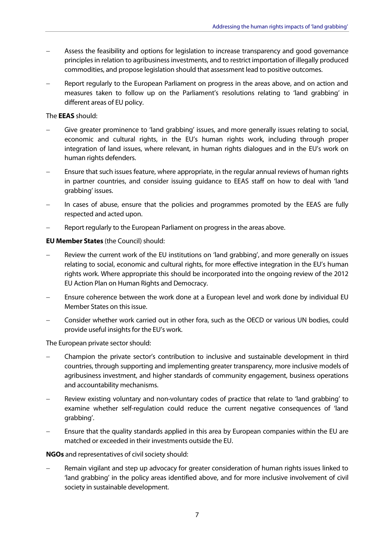- Assess the feasibility and options for legislation to increase transparency and good governance principles in relation to agribusiness investments, and to restrict importation of illegally produced commodities, and propose legislation should that assessment lead to positive outcomes.
- Report regularly to the European Parliament on progress in the areas above, and on action and measures taken to follow up on the Parliament's resolutions relating to 'land grabbing' in different areas of EU policy.

### The **EEAS** should:

- Give greater prominence to 'land grabbing' issues, and more generally issues relating to social, economic and cultural rights, in the EU's human rights work, including through proper integration of land issues, where relevant, in human rights dialogues and in the EU's work on human rights defenders.
- Ensure that such issues feature, where appropriate, in the regular annual reviews of human rights in partner countries, and consider issuing guidance to EEAS staff on how to deal with 'land grabbing' issues.
- In cases of abuse, ensure that the policies and programmes promoted by the EEAS are fully respected and acted upon.
- Report regularly to the European Parliament on progress in the areas above.

### **EU Member States** (the Council) should:

- Review the current work of the EU institutions on 'land grabbing', and more generally on issues relating to social, economic and cultural rights, for more effective integration in the EU's human rights work. Where appropriate this should be incorporated into the ongoing review of the 2012 EU Action Plan on Human Rights and Democracy.
- Ensure coherence between the work done at a European level and work done by individual EU Member States on this issue.
- Consider whether work carried out in other fora, such as the OECD or various UN bodies, could provide useful insights for the EU's work.

The European private sector should:

- Champion the private sector's contribution to inclusive and sustainable development in third countries, through supporting and implementing greater transparency, more inclusive models of agribusiness investment, and higher standards of community engagement, business operations and accountability mechanisms.
- Review existing voluntary and non-voluntary codes of practice that relate to 'land grabbing' to examine whether self-regulation could reduce the current negative consequences of 'land grabbing'.
- Ensure that the quality standards applied in this area by European companies within the EU are matched or exceeded in their investments outside the EU.

**NGOs** and representatives of civil society should:

 Remain vigilant and step up advocacy for greater consideration of human rights issues linked to 'land grabbing' in the policy areas identified above, and for more inclusive involvement of civil society in sustainable development.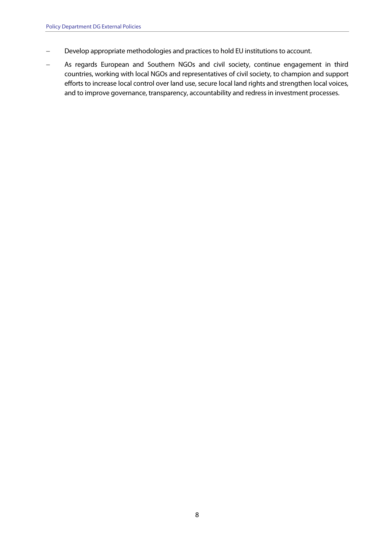- Develop appropriate methodologies and practices to hold EU institutions to account.
- As regards European and Southern NGOs and civil society, continue engagement in third countries, working with local NGOs and representatives of civil society, to champion and support efforts to increase local control over land use, secure local land rights and strengthen local voices, and to improve governance, transparency, accountability and redress in investment processes.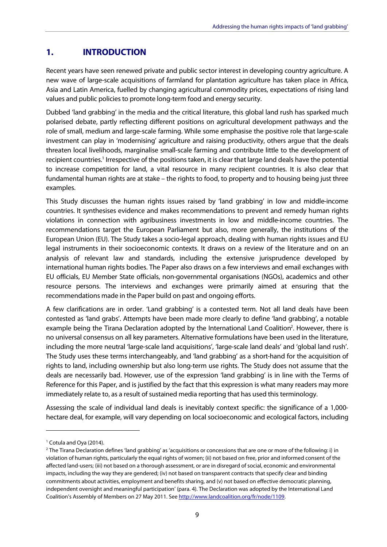# <span id="page-9-0"></span>**1. INTRODUCTION**

 Recent years have seen renewed private and public sector interest in developing country agriculture. A new wave of large-scale acquisitions of farmland for plantation agriculture has taken place in Africa, Asia and Latin America, fuelled by changing agricultural commodity prices, expectations of rising land values and public policies to promote long-term food and energy security.

 Dubbed 'land grabbing' in the media and the critical literature, this global land rush has sparked much polarised debate, partly reflecting different positions on agricultural development pathways and the role of small, medium and large-scale farming. While some emphasise the positive role that large-scale investment can play in 'modernising' agriculture and raising productivity, others argue that the deals threaten local livelihoods, marginalise small-scale farming and contribute little to the development of recipient countries.<sup>1</sup> Irrespective of the positions taken, it is clear that large land deals have the potential to increase competition for land, a vital resource in many recipient countries. It is also clear that fundamental human rights are at stake – the rights to food, to property and to housing being just three examples.

 This Study discusses the human rights issues raised by 'land grabbing' in low and middle-income countries. It synthesises evidence and makes recommendations to prevent and remedy human rights violations in connection with agribusiness investments in low and middle-income countries. The recommendations target the European Parliament but also, more generally, the institutions of the European Union (EU). The Study takes a socio-legal approach, dealing with human rights issues and EU legal instruments in their socioeconomic contexts. It draws on a review of the literature and on an analysis of relevant law and standards, including the extensive jurisprudence developed by international human rights bodies. The Paper also draws on a few interviews and email exchanges with EU officials, EU Member State officials, non-governmental organisations (NGOs), academics and other resource persons. The interviews and exchanges were primarily aimed at ensuring that the recommendations made in the Paper build on past and ongoing efforts.

 A few clarifications are in order. 'Land grabbing' is a contested term. Not all land deals have been contested as 'land grabs'. Attempts have been made more clearly to define 'land grabbing', a notable example being the Tirana Declaration adopted by the International Land Coalition<sup>2</sup>. However, there is no universal consensus on all key parameters. Alternative formulations have been used in the literature, including the more neutral 'large-scale land acquisitions', 'large-scale land deals' and 'global land rush'. The Study uses these terms interchangeably, and 'land grabbing' as a short-hand for the acquisition of rights to land, including ownership but also long-term use rights. The Study does not assume that the deals are necessarily bad. However, use of the expression 'land grabbing' is in line with the Terms of Reference for this Paper, and is justified by the fact that this expression is what many readers may more immediately relate to, as a result of sustained media reporting that has used this terminology.

 Assessing the scale of individual land deals is inevitably context specific: the significance of a 1,000- hectare deal, for example, will vary depending on local socioeconomic and ecological factors, including

<sup>&</sup>lt;sup>1</sup> Cotula and Oya (2014).

 $^2$ The Tirana Declaration defines 'land grabbing' as 'acquisitions or concessions that are one or more of the following: i) in violation of human rights, particularly the equal rights of women; (ii) not based on free, prior and informed consent of the affected land-users; (iii) not based on a thorough assessment, or are in disregard of social, economic and environmental impacts, including the way they are gendered; (iv) not based on transparent contracts that specify clear and binding commitments about activities, employment and benefits sharing, and (v) not based on effective democratic planning, independent oversight and meaningful participation' (para. 4). The Declaration was adopted by the International Land Coalition's Assembly of Members on 27 May 2011. See http://www.landcoalition.org/fr/node/1109.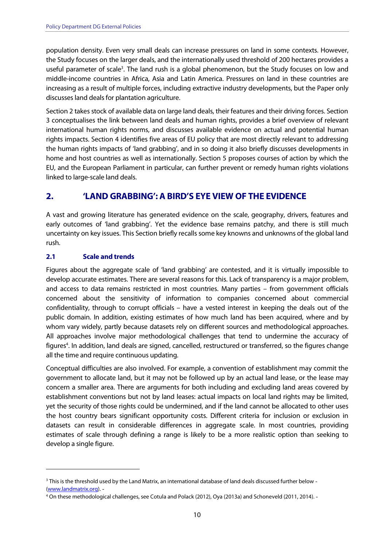<span id="page-10-0"></span> population density. Even very small deals can increase pressures on land in some contexts. However, the Study focuses on the larger deals, and the internationally used threshold of 200 hectares provides a useful parameter of scale<sup>3</sup>. The land rush is a global phenomenon, but the Study focuses on low and middle-income countries in Africa, Asia and Latin America. Pressures on land in these countries are increasing as a result of multiple forces, including extractive industry developments, but the Paper only discusses land deals for plantation agriculture.

 Section 2 takes stock of available data on large land deals, their features and their driving forces. Section 3 conceptualises the link between land deals and human rights, provides a brief overview of relevant international human rights norms, and discusses available evidence on actual and potential human rights impacts. Section 4 identifies five areas of EU policy that are most directly relevant to addressing the human rights impacts of 'land grabbing', and in so doing it also briefly discusses developments in home and host countries as well as internationally. Section 5 proposes courses of action by which the EU, and the European Parliament in particular, can further prevent or remedy human rights violations linked to large-scale land deals.

### **2. 'LAND GRABBING': A BIRD'S EYE VIEW OF THE EVIDENCE**

 A vast and growing literature has generated evidence on the scale, geography, drivers, features and early outcomes of 'land grabbing'. Yet the evidence base remains patchy, and there is still much uncertainty on key issues. This Section briefly recalls some key knowns and unknowns of the global land rush.

#### **Scale and trends 2.1**

 Figures about the aggregate scale of 'land grabbing' are contested, and it is virtually impossible to develop accurate estimates. There are several reasons for this. Lack of transparency is a major problem, and access to data remains restricted in most countries. Many parties – from government officials concerned about the sensitivity of information to companies concerned about commercial confidentiality, through to corrupt officials – have a vested interest in keeping the deals out of the public domain. In addition, existing estimates of how much land has been acquired, where and by whom vary widely, partly because datasets rely on different sources and methodological approaches. All approaches involve major methodological challenges that tend to undermine the accuracy of figures<sup>4</sup>. In addition, land deals are signed, cancelled, restructured or transferred, so the figures change all the time and require continuous updating.

 Conceptual difficulties are also involved. For example, a convention of establishment may commit the government to allocate land, but it may not be followed up by an actual land lease, or the lease may concern a smaller area. There are arguments for both including and excluding land areas covered by establishment conventions but not by land leases: actual impacts on local land rights may be limited, yet the security of those rights could be undermined, and if the land cannot be allocated to other uses the host country bears significant opportunity costs. Different criteria for inclusion or exclusion in datasets can result in considerable differences in aggregate scale. In most countries, providing estimates of scale through defining a range is likely to be a more realistic option than seeking to develop a single figure.

 $3$  This is the threshold used by the Land Matrix, an international database of land deals discussed further below -(www.landmatrix.org). -

 4 On these methodological challenges, see Cotula and Polack (2012), Oya (2013a) and Schoneveld (2011, 2014).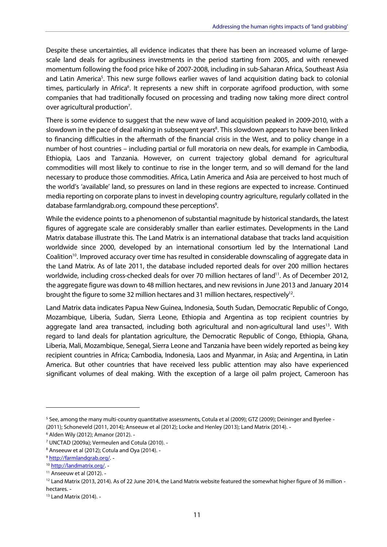Despite these uncertainties, all evidence indicates that there has been an increased volume of large- scale land deals for agribusiness investments in the period starting from 2005, and with renewed momentum following the food price hike of 2007-2008, including in sub-Saharan Africa, Southeast Asia and Latin America<sup>5</sup>. This new surge follows earlier waves of land acquisition dating back to colonial times, particularly in Africa<sup>6</sup>. It represents a new shift in corporate agrifood production, with some companies that had traditionally focused on processing and trading now taking more direct control over agricultural production<sup>7</sup>.

 There is some evidence to suggest that the new wave of land acquisition peaked in 2009-2010, with a slowdown in the pace of deal making in subsequent years<sup>8</sup>. This slowdown appears to have been linked to financing difficulties in the aftermath of the financial crisis in the West, and to policy change in a number of host countries – including partial or full moratoria on new deals, for example in Cambodia, Ethiopia, Laos and Tanzania. However, on current trajectory global demand for agricultural commodities will most likely to continue to rise in the longer term, and so will demand for the land necessary to produce those commodities. Africa, Latin America and Asia are perceived to host much of the world's 'available' land, so pressures on land in these regions are expected to increase. Continued media reporting on corporate plans to invest in developing country agriculture, regularly collated in the database farmlandgrab.org, compound these perceptions<sup>9</sup>.

 While the evidence points to a phenomenon of substantial magnitude by historical standards, the latest figures of aggregate scale are considerably smaller than earlier estimates. Developments in the Land Matrix database illustrate this. The Land Matrix is an international database that tracks land acquisition worldwide since 2000, developed by an international consortium led by the International Land Coalition<sup>10</sup>. Improved accuracy over time has resulted in considerable downscaling of aggregate data in the Land Matrix. As of late 2011, the database included reported deals for over 200 million hectares worldwide, including cross-checked deals for over 70 million hectares of land<sup>11</sup>. As of December 2012, the aggregate figure was down to 48 million hectares, and new revisions in June 2013 and January 2014 brought the figure to some 32 million hectares and 31 million hectares, respectively<sup>12</sup>.

 Land Matrix data indicates Papua New Guinea, Indonesia, South Sudan, Democratic Republic of Congo, Mozambique, Liberia, Sudan, Sierra Leone, Ethiopia and Argentina as top recipient countries by aggregate land area transacted, including both agricultural and non-agricultural land uses<sup>13</sup>. With regard to land deals for plantation agriculture, the Democratic Republic of Congo, Ethiopia, Ghana, Liberia, Mali, Mozambique, Senegal, Sierra Leone and Tanzania have been widely reported as being key recipient countries in Africa; Cambodia, Indonesia, Laos and Myanmar, in Asia; and Argentina, in Latin America. But other countries that have received less public attention may also have experienced significant volumes of deal making. With the exception of a large oil palm project, Cameroon has

<sup>&</sup>lt;sup>5</sup> See, among the many multi-country quantitative assessments, Cotula et al (2009); GTZ (2009); Deininger and Byerlee -(2011); Schoneveld (2011, 2014); Anseeuw et al (2012); Locke and Henley (2013); Land Matrix (2014).

 6 Alden Wily (2012); Amanor (2012).

 7 UNCTAD (2009a); Vermeulen and Cotula (2010).

<sup>&</sup>lt;sup>8</sup> Anseeuw et al (2012); Cotula and Oya (2014). -

<sup>9</sup> http://farmlandgrab.org/. -

<sup>10</sup> http://landmatrix.org/. -

 11 Anseeuw et al (2012).

 $12$  Land Matrix (2013, 2014). As of 22 June 2014, the Land Matrix website featured the somewhat higher figure of 36 million hectares.

 13 Land Matrix (2014).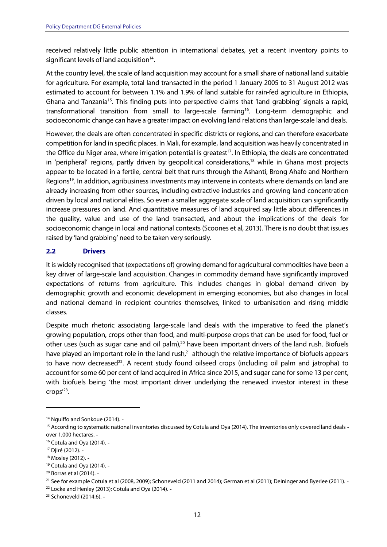<span id="page-12-0"></span> received relatively little public attention in international debates, yet a recent inventory points to significant levels of land acquisition $14$ .

 At the country level, the scale of land acquisition may account for a small share of national land suitable for agriculture. For example, total land transacted in the period 1 January 2005 to 31 August 2012 was estimated to account for between 1.1% and 1.9% of land suitable for rain-fed agriculture in Ethiopia, Ghana and Tanzania<sup>15</sup>. This finding puts into perspective claims that 'land grabbing' signals a rapid, transformational transition from small to large-scale farming<sup>16</sup>. Long-term demographic and socioeconomic change can have a greater impact on evolving land relations than large-scale land deals.

 However, the deals are often concentrated in specific districts or regions, and can therefore exacerbate competition for land in specific places. In Mali, for example, land acquisition was heavily concentrated in the Office du Niger area, where irrigation potential is greatest<sup>17</sup>. In Ethiopia, the deals are concentrated in 'peripheral' regions, partly driven by geopolitical considerations,<sup>18</sup> while in Ghana most projects appear to be located in a fertile, central belt that runs through the Ashanti, Brong Ahafo and Northern Regions<sup>19</sup>. In addition, agribusiness investments may intervene in contexts where demands on land are already increasing from other sources, including extractive industries and growing land concentration driven by local and national elites. So even a smaller aggregate scale of land acquisition can significantly increase pressures on land. And quantitative measures of land acquired say little about differences in the quality, value and use of the land transacted, and about the implications of the deals for socioeconomic change in local and national contexts (Scoones et al, 2013). There is no doubt that issues raised by 'land grabbing' need to be taken very seriously.

### **2.2 Drivers**

 It is widely recognised that (expectations of) growing demand for agricultural commodities have been a key driver of large-scale land acquisition. Changes in commodity demand have significantly improved expectations of returns from agriculture. This includes changes in global demand driven by demographic growth and economic development in emerging economies, but also changes in local and national demand in recipient countries themselves, linked to urbanisation and rising middle classes.

 Despite much rhetoric associating large-scale land deals with the imperative to feed the planet's growing population, crops other than food, and multi-purpose crops that can be used for food, fuel or other uses (such as sugar cane and oil palm),<sup>20</sup> have been important drivers of the land rush. Biofuels have played an important role in the land rush,<sup>21</sup> although the relative importance of biofuels appears to have now decreased<sup>22</sup>. A recent study found oilseed crops (including oil palm and jatropha) to account for some 60 per cent of land acquired in Africa since 2015, and sugar cane for some 13 per cent, with biofuels being 'the most important driver underlying the renewed investor interest in these crops<sup>'23</sup>.

<sup>&</sup>lt;sup>14</sup> Nguiffo and Sonkoue (2014). -

<sup>&</sup>lt;sup>15</sup> According to systematic national inventories discussed by Cotula and Oya (2014). The inventories only covered land deals -over 1,000 hectares.

<sup>&</sup>lt;sup>16</sup> Cotula and Oya (2014). -

<sup>17</sup> Djiré (2012).

<sup>&</sup>lt;sup>18</sup> Mosley (2012). -

 19 Cotula and Oya (2014).

 20 Borras et al (2014).

 $^{21}$  See for example Cotula et al (2008, 2009); Schoneveld (2011 and 2014); German et al (2011); Deininger and Byerlee (2011). -

<sup>&</sup>lt;sup>22</sup> Locke and Henley (2013); Cotula and Oya (2014). -

<sup>&</sup>lt;sup>23</sup> Schoneveld (2014:6). -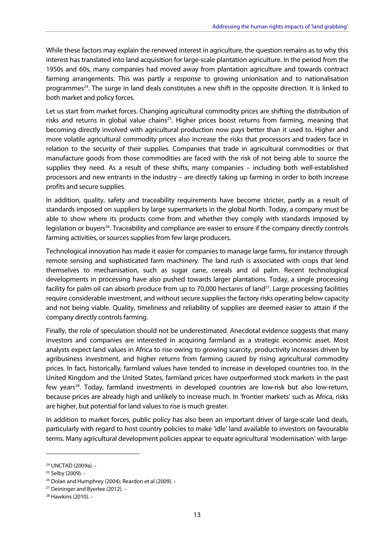While these factors may explain the renewed interest in agriculture, the question remains as to why this interest has translated into land acquisition for large-scale plantation agriculture. In the period from the 1950s and 60s, many companies had moved away from plantation agriculture and towards contract farming arrangements. This was partly a response to growing unionisation and to nationalisation programmes<sup>24</sup>. The surge in land deals constitutes a new shift in the opposite direction. It is linked to both market and policy forces.

 Let us start from market forces. Changing agricultural commodity prices are shifting the distribution of risks and returns in global value chains<sup>25</sup>. Higher prices boost returns from farming, meaning that becoming directly involved with agricultural production now pays better than it used to. Higher and more volatile agricultural commodity prices also increase the risks that processors and traders face in relation to the security of their supplies. Companies that trade in agricultural commodities or that manufacture goods from those commodities are faced with the risk of not being able to source the supplies they need. As a result of these shifts, many companies – including both well-established processors and new entrants in the industry – are directly taking up farming in order to both increase profits and secure supplies.

 In addition, quality, safety and traceability requirements have become stricter, partly as a result of standards imposed on suppliers by large supermarkets in the global North. Today, a company must be able to show where its products come from and whether they comply with standards imposed by legislation or buyers<sup>26</sup>. Traceability and compliance are easier to ensure if the company directly controls farming activities, or sources supplies from few large producers.

 Technological innovation has made it easier for companies to manage large farms, for instance through remote sensing and sophisticated farm machinery. The land rush is associated with crops that lend themselves to mechanisation, such as sugar cane, cereals and oil palm. Recent technological developments in processing have also pushed towards larger plantations. Today, a single processing facility for palm oil can absorb produce from up to 70,000 hectares of land<sup>27</sup>. Large processing facilities require considerable investment, and without secure supplies the factory risks operating below capacity and not being viable. Quality, timeliness and reliability of supplies are deemed easier to attain if the company directly controls farming.

 Finally, the role of speculation should not be underestimated. Anecdotal evidence suggests that many investors and companies are interested in acquiring farmland as a strategic economic asset. Most analysts expect land values in Africa to rise owing to growing scarcity, productivity increases driven by agribusiness investment, and higher returns from farming caused by rising agricultural commodity prices. In fact, historically, farmland values have tended to increase in developed countries too. In the United Kingdom and the United States, farmland prices have outperformed stock markets in the past few years<sup>28</sup>. Today, farmland investments in developed countries are low-risk but also low-return, because prices are already high and unlikely to increase much. In 'frontier markets' such as Africa, risks are higher, but potential for land values to rise is much greater.

 In addition to market forces, public policy has also been an important driver of large-scale land deals, particularly with regard to host country policies to make 'idle' land available to investors on favourable terms. Many agricultural development policies appear to equate agricultural 'modernisation' with large-

<sup>24</sup> UNCTAD (2009a).

<sup>&</sup>lt;sup>25</sup> Selby (2009). -

<sup>&</sup>lt;sup>26</sup> Dolan and Humphrey (2004); Reardon et al (2009). -

<sup>&</sup>lt;sup>27</sup> Deininger and Byerlee (2012). -

<sup>28</sup> Hawkins (2010).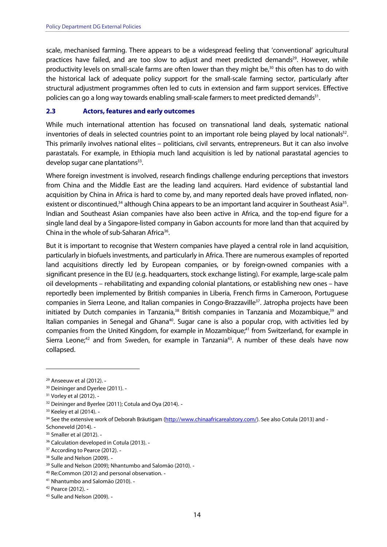<span id="page-14-0"></span> scale, mechanised farming. There appears to be a widespread feeling that 'conventional' agricultural practices have failed, and are too slow to adjust and meet predicted demands<sup>29</sup>. However, while productivity levels on small-scale farms are often lower than they might be,<sup>30</sup> this often has to do with the historical lack of adequate policy support for the small-scale farming sector, particularly after structural adjustment programmes often led to cuts in extension and farm support services. Effective policies can go a long way towards enabling small-scale farmers to meet predicted demands<sup>31</sup>.

#### **Actors, features and early outcomes 2.3**

 While much international attention has focused on transnational land deals, systematic national inventories of deals in selected countries point to an important role being played by local nationals<sup>32</sup>. This primarily involves national elites – politicians, civil servants, entrepreneurs. But it can also involve parastatals. For example, in Ethiopia much land acquisition is led by national parastatal agencies to develop sugar cane plantations<sup>33</sup>.

 Where foreign investment is involved, research findings challenge enduring perceptions that investors from China and the Middle East are the leading land acquirers. Hard evidence of substantial land acquisition by China in Africa is hard to come by, and many reported deals have proved inflated, nonexistent or discontinued,<sup>34</sup> although China appears to be an important land acquirer in Southeast Asia<sup>35</sup>. Indian and Southeast Asian companies have also been active in Africa, and the top-end figure for a single land deal by a Singapore-listed company in Gabon accounts for more land than that acquired by China in the whole of sub-Saharan Africa<sup>36</sup>.

 But it is important to recognise that Western companies have played a central role in land acquisition, particularly in biofuels investments, and particularly in Africa. There are numerous examples of reported land acquisitions directly led by European companies, or by foreign-owned companies with a significant presence in the EU (e.g. headquarters, stock exchange listing). For example, large-scale palm oil developments – rehabilitating and expanding colonial plantations, or establishing new ones – have reportedly been implemented by British companies in Liberia, French firms in Cameroon, Portuguese companies in Sierra Leone, and Italian companies in Congo-Brazzaville<sup>37</sup>. Jatropha projects have been initiated by Dutch companies in Tanzania,<sup>38</sup> British companies in Tanzania and Mozambique,<sup>39</sup> and Italian companies in Senegal and Ghana<sup>40</sup>. Sugar cane is also a popular crop, with activities led by companies from the United Kingdom, for example in Mozambique,<sup>41</sup> from Switzerland, for example in Sierra Leone;<sup>42</sup> and from Sweden, for example in Tanzania<sup>43</sup>. A number of these deals have now collapsed.

<sup>&</sup>lt;sup>29</sup> Anseeuw et al (2012). -

<sup>&</sup>lt;sup>30</sup> Deininger and Dyerlee (2011). -

<sup>&</sup>lt;sup>31</sup> Vorley et al (2012). -

<sup>&</sup>lt;sup>32</sup> Deininger and Byerlee (2011); Cotula and Oya (2014). -

<sup>33</sup> Keeley et al (2014). -

<sup>&</sup>lt;sup>34</sup> See the extensive work of Deborah Bräutigam (http://www.chinaafricarealstory.com/). See also Cotula (2013) and -Schoneveld (2014).

 35 Smaller et al (2012).

<sup>&</sup>lt;sup>36</sup> Calculation developed in Cotula (2013). -

<sup>&</sup>lt;sup>37</sup> According to Pearce (2012). -

<sup>&</sup>lt;sup>38</sup> Sulle and Nelson (2009). -

 39 Sulle and Nelson (2009); Nhantumbo and Salomão (2010).

<sup>&</sup>lt;sup>40</sup> Re:Common (2012) and personal observation. -

 41 Nhantumbo and Salomão (2010).

<sup>42</sup> Pearce (2012).

<sup>43</sup> Sulle and Nelson (2009). -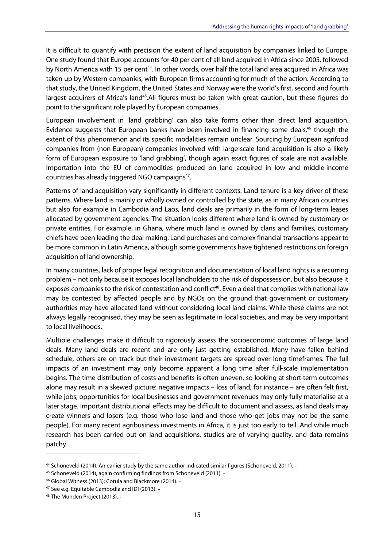It is difficult to quantify with precision the extent of land acquisition by companies linked to Europe. One study found that Europe accounts for 40 per cent of all land acquired in Africa since 2005, followed by North America with 15 per cent<sup>44</sup>. In other words, over half the total land area acquired in Africa was taken up by Western companies, with European firms accounting for much of the action. According to that study, the United Kingdom, the United States and Norway were the world's first, second and fourth largest acquirers of Africa's land<sup>45</sup>. All figures must be taken with great caution, but these figures do point to the significant role played by European companies.

 European involvement in 'land grabbing' can also take forms other than direct land acquisition. Evidence suggests that European banks have been involved in financing some deals,<sup>46</sup> though the extent of this phenomenon and its specific modalities remain unclear. Sourcing by European agrifood companies from (non-European) companies involved with large-scale land acquisition is also a likely form of European exposure to 'land grabbing', though again exact figures of scale are not available. Importation into the EU of commodities produced on land acquired in low and middle-income countries has already triggered NGO campaigns<sup>47</sup>.

 Patterns of land acquisition vary significantly in different contexts. Land tenure is a key driver of these patterns. Where land is mainly or wholly owned or controlled by the state, as in many African countries but also for example in Cambodia and Laos, land deals are primarily in the form of long-term leases allocated by government agencies. The situation looks different where land is owned by customary or private entities. For example, in Ghana, where much land is owned by clans and families, customary chiefs have been leading the deal making. Land purchases and complex financial transactions appear to be more common in Latin America, although some governments have tightened restrictions on foreign acquisition of land ownership.

 In many countries, lack of proper legal recognition and documentation of local land rights is a recurring problem – not only because it exposes local landholders to the risk of dispossession, but also because it exposes companies to the risk of contestation and conflict<sup>48</sup>. Even a deal that complies with national law may be contested by affected people and by NGOs on the ground that government or customary authorities may have allocated land without considering local land claims. While these claims are not always legally recognised, they may be seen as legitimate in local societies, and may be very important to local livelihoods.

 Multiple challenges make it difficult to rigorously assess the socioeconomic outcomes of large land deals. Many land deals are recent and are only just getting established. Many have fallen behind schedule, others are on track but their investment targets are spread over long timeframes. The full impacts of an investment may only become apparent a long time after full-scale implementation begins. The time distribution of costs and benefits is often uneven, so looking at short-term outcomes alone may result in a skewed picture: negative impacts – loss of land, for instance – are often felt first, while jobs, opportunities for local businesses and government revenues may only fully materialise at a later stage. Important distributional effects may be difficult to document and assess, as land deals may create winners and losers (e.g. those who lose land and those who get jobs may not be the same people). For many recent agribusiness investments in Africa, it is just too early to tell. And while much research has been carried out on land acquisitions, studies are of varying quality, and data remains patchy.

<sup>&</sup>lt;sup>44</sup> Schoneveld (2014). An earlier study by the same author indicated similar figures (Schoneveld, 2011). -

<sup>45</sup> Schoneveld (2014), again confirming findings from Schoneveld (2011). -

 46 Global Witness (2013); Cotula and Blackmore (2014).

<sup>&</sup>lt;sup>47</sup> See e.g. Equitable Cambodia and IDI (2013). -

<sup>48</sup> The Munden Project (2013). -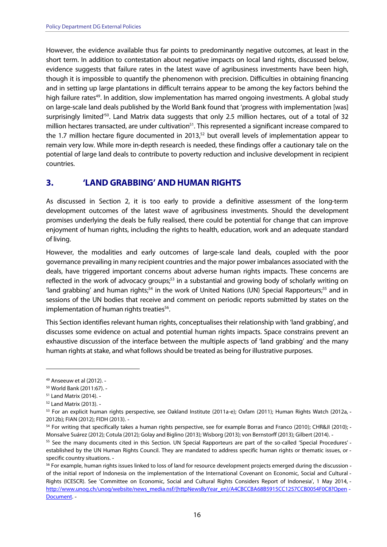<span id="page-16-0"></span> However, the evidence available thus far points to predominantly negative outcomes, at least in the short term. In addition to contestation about negative impacts on local land rights, discussed below, evidence suggests that failure rates in the latest wave of agribusiness investments have been high, though it is impossible to quantify the phenomenon with precision. Difficulties in obtaining financing and in setting up large plantations in difficult terrains appear to be among the key factors behind the high failure rates<sup>49</sup>. In addition, slow implementation has marred ongoing investments. A global study on large-scale land deals published by the World Bank found that 'progress with implementation [was] surprisingly limited<sup>'50</sup>. Land Matrix data suggests that only 2.5 million hectares, out of a total of 32 million hectares transacted, are under cultivation<sup>51</sup>. This represented a significant increase compared to the 1.7 million hectare figure documented in 2013, $52$  but overall levels of implementation appear to remain very low. While more in-depth research is needed, these findings offer a cautionary tale on the potential of large land deals to contribute to poverty reduction and inclusive development in recipient countries.

### **3. 'LAND GRABBING' AND HUMAN RIGHTS**

 As discussed in Section 2, it is too early to provide a definitive assessment of the long-term development outcomes of the latest wave of agribusiness investments. Should the development promises underlying the deals be fully realised, there could be potential for change that can improve enjoyment of human rights, including the rights to health, education, work and an adequate standard of living.

 However, the modalities and early outcomes of large-scale land deals, coupled with the poor governance prevailing in many recipient countries and the major power imbalances associated with the deals, have triggered important concerns about adverse human rights impacts. These concerns are reflected in the work of advocacy groups;<sup>53</sup> in a substantial and growing body of scholarly writing on 'land grabbing' and human rights;<sup>54</sup> in the work of United Nations (UN) Special Rapporteurs;<sup>55</sup> and in sessions of the UN bodies that receive and comment on periodic reports submitted by states on the implementation of human rights treaties<sup>56</sup>.

 This Section identifies relevant human rights, conceptualises their relationship with 'land grabbing', and discusses some evidence on actual and potential human rights impacts. Space constrains prevent an exhaustive discussion of the interface between the multiple aspects of 'land grabbing' and the many human rights at stake, and what follows should be treated as being for illustrative purposes.

 49 Anseeuw et al (2012).

 50 World Bank (2011:67).

 51 Land Matrix (2014).

 52 Land Matrix (2013).

<sup>53</sup> For an explicit human rights perspective, see Oakland Institute (2011a-e); Oxfam (2011); Human Rights Watch (2012a, -2012b); FIAN (2012); FIDH (2013).

 54 For writing that specifically takes a human rights perspective, see for example Borras and Franco (2010); CHR&JI (2010); Monsalve Suárez (2012); Cotula (2012); Golay and Biglino (2013); Wisborg (2013); von Bernstorff (2013); Gilbert (2014).

<sup>&</sup>lt;sup>55</sup> See the many documents cited in this Section. UN Special Rapporteurs are part of the so-called 'Special Procedures' - established by the UN Human Rights Council. They are mandated to address specific human rights or thematic issues, or specific country situations.

 $56$  For example, human rights issues linked to loss of land for resource development projects emerged during the discussion - of the initial report of Indonesia on the implementation of the International Covenant on Economic, Social and Cultural Rights (ICESCR). See 'Committee on Economic, Social and Cultural Rights Considers Report of Indonesia', 1 May 2014, http://www.unog.ch/unog/website/news\_media.nsf/(httpNewsByYear\_en)/A4CBCCBA68B5915CC1257CCB0054F0C8?Open -Document. -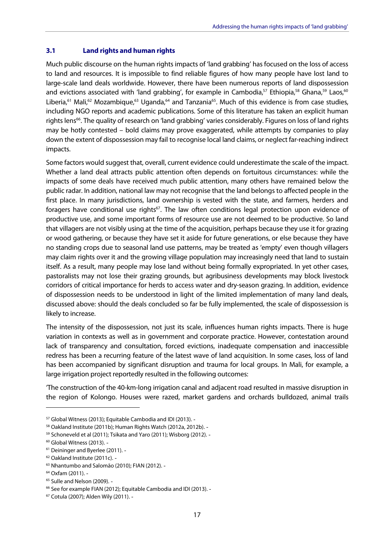#### <span id="page-17-0"></span> **Land rights and human rights 3.1**

 Much public discourse on the human rights impacts of 'land grabbing' has focused on the loss of access to land and resources. It is impossible to find reliable figures of how many people have lost land to large-scale land deals worldwide. However, there have been numerous reports of land dispossession and evictions associated with 'land grabbing', for example in Cambodia,<sup>57</sup> Ethiopia,<sup>58</sup> Ghana,<sup>59</sup> Laos,<sup>60</sup> Liberia,<sup>61</sup> Mali,<sup>62</sup> Mozambique,<sup>63</sup> Uganda,<sup>64</sup> and Tanzania<sup>65</sup>. Much of this evidence is from case studies, including NGO reports and academic publications. Some of this literature has taken an explicit human rights lens<sup>66</sup>. The quality of research on 'land grabbing' varies considerably. Figures on loss of land rights may be hotly contested – bold claims may prove exaggerated, while attempts by companies to play down the extent of dispossession may fail to recognise local land claims, or neglect far-reaching indirect impacts.

 Some factors would suggest that, overall, current evidence could underestimate the scale of the impact. Whether a land deal attracts public attention often depends on fortuitous circumstances: while the impacts of some deals have received much public attention, many others have remained below the public radar. In addition, national law may not recognise that the land belongs to affected people in the first place. In many jurisdictions, land ownership is vested with the state, and farmers, herders and foragers have conditional use rights<sup>67</sup>. The law often conditions legal protection upon evidence of productive use, and some important forms of resource use are not deemed to be productive. So land that villagers are not visibly using at the time of the acquisition, perhaps because they use it for grazing or wood gathering, or because they have set it aside for future generations, or else because they have no standing crops due to seasonal land use patterns, may be treated as 'empty' even though villagers may claim rights over it and the growing village population may increasingly need that land to sustain itself. As a result, many people may lose land without being formally expropriated. In yet other cases, pastoralists may not lose their grazing grounds, but agribusiness developments may block livestock corridors of critical importance for herds to access water and dry-season grazing. In addition, evidence of dispossession needs to be understood in light of the limited implementation of many land deals, discussed above: should the deals concluded so far be fully implemented, the scale of dispossession is likely to increase.

 The intensity of the dispossession, not just its scale, influences human rights impacts. There is huge variation in contexts as well as in government and corporate practice. However, contestation around lack of transparency and consultation, forced evictions, inadequate compensation and inaccessible redress has been a recurring feature of the latest wave of land acquisition. In some cases, loss of land has been accompanied by significant disruption and trauma for local groups. In Mali, for example, a large irrigation project reportedly resulted in the following outcomes:

 'The construction of the 40-km-long irrigation canal and adjacent road resulted in massive disruption in the region of Kolongo. Houses were razed, market gardens and orchards bulldozed, animal trails

 57 Global Witness (2013); Equitable Cambodia and IDI (2013).

<sup>&</sup>lt;sup>58</sup> Oakland Institute (2011b); Human Rights Watch (2012a, 2012b). -

<sup>&</sup>lt;sup>59</sup> Schoneveld et al (2011); Tsikata and Yaro (2011); Wisborg (2012). -

 60 Global Witness (2013).

<sup>&</sup>lt;sup>61</sup> Deininger and Byerlee (2011). -

<sup>&</sup>lt;sup>62</sup> Oakland Institute (2011c). -

<sup>&</sup>lt;sup>63</sup> Nhantumbo and Salomão (2010); FIAN (2012). -

<sup>64</sup> Oxfam (2011).

<sup>&</sup>lt;sup>65</sup> Sulle and Nelson (2009). -

<sup>&</sup>lt;sup>66</sup> See for example FIAN (2012); Equitable Cambodia and IDI (2013). -

 67 Cotula (2007); Alden Wily (2011).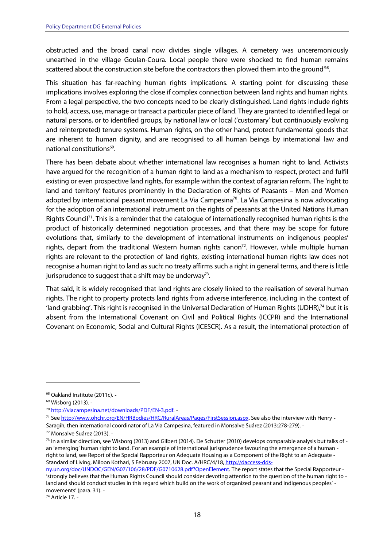obstructed and the broad canal now divides single villages. A cemetery was unceremoniously unearthed in the village Goulan-Coura. Local people there were shocked to find human remains scattered about the construction site before the contractors then plowed them into the ground<sup>68</sup>.

 This situation has far-reaching human rights implications. A starting point for discussing these implications involves exploring the close if complex connection between land rights and human rights. From a legal perspective, the two concepts need to be clearly distinguished. Land rights include rights to hold, access, use, manage or transact a particular piece of land. They are granted to identified legal or natural persons, or to identified groups, by national law or local ('customary' but continuously evolving and reinterpreted) tenure systems. Human rights, on the other hand, protect fundamental goods that are inherent to human dignity, and are recognised to all human beings by international law and national constitutions<sup>69</sup>.

 There has been debate about whether international law recognises a human right to land. Activists have argued for the recognition of a human right to land as a mechanism to respect, protect and fulfil existing or even prospective land rights, for example within the context of agrarian reform. The 'right to land and territory' features prominently in the Declaration of Rights of Peasants – Men and Women adopted by international peasant movement La Via Campesina<sup>70</sup>. La Via Campesina is now advocating for the adoption of an international instrument on the rights of peasants at the United Nations Human Rights Council<sup>71</sup>. This is a reminder that the catalogue of internationally recognised human rights is the product of historically determined negotiation processes, and that there may be scope for future evolutions that, similarly to the development of international instruments on indigenous peoples' rights, depart from the traditional Western human rights canon<sup>72</sup>. However, while multiple human rights are relevant to the protection of land rights, existing international human rights law does not recognise a human right to land as such: no treaty affirms such a right in general terms, and there is little jurisprudence to suggest that a shift may be underway<sup>73</sup>.

 That said, it is widely recognised that land rights are closely linked to the realisation of several human rights. The right to property protects land rights from adverse interference, including in the context of 'land grabbing'. This right is recognised in the Universal Declaration of Human Rights (UDHR),<sup>74</sup> but it is absent from the International Covenant on Civil and Political Rights (ICCPR) and the International Covenant on Economic, Social and Cultural Rights (ICESCR). As a result, the international protection of

74 Article 17.

<sup>&</sup>lt;sup>68</sup> Oakland Institute (2011c). -

<sup>&</sup>lt;sup>69</sup> Wisborg (2013). -

<sup>&</sup>lt;sup>70</sup> http://viacampesina.net/downloads/PDF/EN-3.pdf. -

<sup>&</sup>lt;sup>71</sup> See http://www.ohchr.org/EN/HRBodies/HRC/RuralAreas/Pages/FirstSession.aspx. See also the interview with Henry -Saragih, then international coordinator of La Via Campesina, featured in Monsalve Suárez (2013:278-279).

 72 Monsalve Suárez (2013).

 $73$  In a similar direction, see Wisborg (2013) and Gilbert (2014). De Schutter (2010) develops comparable analysis but talks of - an 'emerging' human right to land. For an example of international jurisprudence favouring the emergence of a human right to land, see Report of the Special Rapporteur on Adequate Housing as a Component of the Right to an Adequate Standard of Living, Miloon Kothari, 5 February 2007, UN Doc. A/HRC/4/18, http://daccess-dds-

ny.un.org/doc/UNDOC/GEN/G07/106/28/PDF/G0710628.pdf?OpenElement. The report states that the Special Rapporteur - 'strongly believes that the Human Rights Council should consider devoting attention to the question of the human right to land and should conduct studies in this regard which build on the work of organized peasant and indigenous peoples' movements' (para. 31).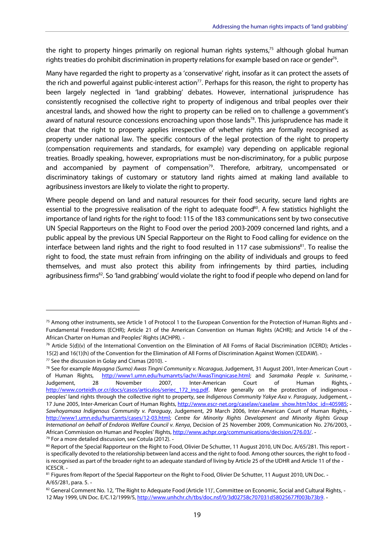the right to property hinges primarily on regional human rights systems,<sup>75</sup> although global human rights treaties do prohibit discrimination in property relations for example based on race or gender<sup>76</sup>.

 Many have regarded the right to property as a 'conservative' right, insofar as it can protect the assets of the rich and powerful against public-interest action<sup>77</sup>. Perhaps for this reason, the right to property has been largely neglected in 'land grabbing' debates. However, international jurisprudence has consistently recognised the collective right to property of indigenous and tribal peoples over their ancestral lands, and showed how the right to property can be relied on to challenge a government's award of natural resource concessions encroaching upon those lands<sup>78</sup>. This jurisprudence has made it clear that the right to property applies irrespective of whether rights are formally recognised as property under national law. The specific contours of the legal protection of the right to property (compensation requirements and standards, for example) vary depending on applicable regional treaties. Broadly speaking, however, expropriations must be non-discriminatory, for a public purpose and accompanied by payment of compensation<sup>79</sup>. Therefore, arbitrary, uncompensated or discriminatory takings of customary or statutory land rights aimed at making land available to agribusiness investors are likely to violate the right to property.

 Where people depend on land and natural resources for their food security, secure land rights are essential to the progressive realisation of the right to adequate food<sup>80</sup>. A few statistics highlight the importance of land rights for the right to food: 115 of the 183 communications sent by two consecutive UN Special Rapporteurs on the Right to Food over the period 2003-2009 concerned land rights, and a public appeal by the previous UN Special Rapporteur on the Right to Food calling for evidence on the interface between land rights and the right to food resulted in 117 case submissions<sup>81</sup>. To realise the right to food, the state must refrain from infringing on the ability of individuals and groups to feed themselves, and must also protect this ability from infringements by third parties, including agribusiness firms<sup>82</sup>. So 'land grabbing' would violate the right to food if people who depend on land for

 $^{75}$  Among other instruments, see Article 1 of Protocol 1 to the European Convention for the Protection of Human Rights and - Fundamental Freedoms (ECHR); Article 21 of the American Convention on Human Rights (ACHR); and Article 14 of the African Charter on Human and Peoples' Rights (ACHPR).

 $^{76}$  Article 5(d)(v) of the International Convention on the Elimination of All Forms of Racial Discrimination (ICERD); Articles - 15(2) and 16(1)(h) of the Convention for the Elimination of All Forms of Discrimination Against Women (CEDAW). 77 See the discussion in Golay and Cismas (2010). -

<sup>&</sup>lt;sup>78</sup> See for example *Mayagna (Sumo) Awas Tingni Community v. Nicaragua,* Judgement, 31 August 2001, Inter-American Court of Human Rights, Judgement, http://www.corteidh.or.cr/docs/casos/articulos/seriec\_172\_ing.pdf. More generally on the protection of indigenous peoples' land rights through the collective right to property, see Indigenous Community Yakye Axa v. Paraguay, Judgement, -17 June 2005, Inter-American Court of Human Rights, http://www.escr-net.org/caselaw/caselaw\_show.htm?doc\_id=405985; í  $\ddot{\phantom{0}}$ I African Commission on Human and Peoples' Rights, <u>http://www.achpr.org/communications/decision/276.03/</u>. -<sup>79</sup> For a more detailed discussion, see Cotula (2012). of Human Rights, http://www1.umn.edu/humanrts/iachr/AwasTingnicase.html; and Saramaka People v. Suriname, -28 November 2007, Inter-American Court of Human Rights, -Sawhoyamaxa Indigenous Community v. Paraguay, Judgement, 29 March 2006, Inter-American Court of Human Rights, http://www1.umn.edu/humanrts/cases/12-03.html; Centre for Minority Rights Development and Minority Rights Group International on behalf of Endorois Welfare Council v. Kenya, Decision of 25 November 2009, Communication No. 276/2003,

 $^{80}$  Report of the Special Rapporteur on the Right to Food, Olivier De Schutter, 11 August 2010, UN Doc. A/65/281. This report is specifically devoted to the relationship between land access and the right to food. Among other sources, the right to food - is recognised as part of the broader right to an adequate standard of living by Article 25 of the UDHR and Article 11 of the ICESCR.

<sup>&</sup>lt;sup>81</sup> Figures from Report of the Special Rapporteur on the Right to Food, Olivier De Schutter, 11 August 2010, UN Doc. -A/65/281, para. 5.

 $82$  General Comment No. 12, 'The Right to Adequate Food (Article 11)', Committee on Economic, Social and Cultural Rights, -12 May 1999, UN Doc. E/C.12/1999/5, http://www.unhchr.ch/tbs/doc.nsf/0/3d02758c707031d58025677f003b73b9.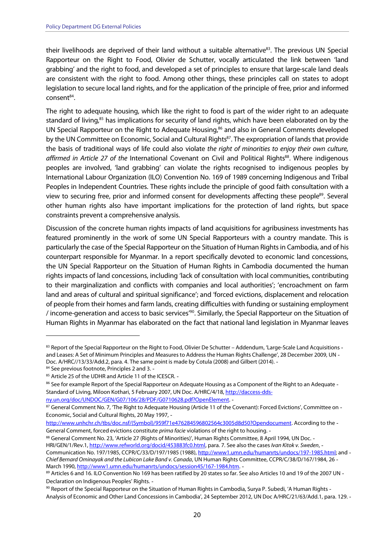their livelihoods are deprived of their land without a suitable alternative<sup>83</sup>. The previous UN Special Rapporteur on the Right to Food, Olivier de Schutter, vocally articulated the link between 'land grabbing' and the right to food, and developed a set of principles to ensure that large-scale land deals are consistent with the right to food. Among other things, these principles call on states to adopt legislation to secure local land rights, and for the application of the principle of free, prior and informed consent<sup>84</sup>.

 The right to adequate housing, which like the right to food is part of the wider right to an adequate standard of living,<sup>85</sup> has implications for security of land rights, which have been elaborated on by the UN Special Rapporteur on the Right to Adequate Housing,<sup>86</sup> and also in General Comments developed by the UN Committee on Economic, Social and Cultural Rights<sup>87</sup>. The expropriation of lands that provide the basis of traditional ways of life could also violate the right of minorities to enjoy their own culture,  $\overline{\phantom{a}}$  peoples are involved, 'land grabbing' can violate the rights recognised to indigenous peoples by International Labour Organization (ILO) Convention No. 169 of 1989 concerning Indigenous and Tribal Peoples in Independent Countries. These rights include the principle of good faith consultation with a view to securing free, prior and informed consent for developments affecting these people<sup>89</sup>. Several other human rights also have important implications for the protection of land rights, but space constraints prevent a comprehensive analysis. affirmed in Article 27 of the International Covenant on Civil and Political Rights<sup>88</sup>. Where indigenous

 Discussion of the concrete human rights impacts of land acquisitions for agribusiness investments has featured prominently in the work of some UN Special Rapporteurs with a country mandate. This is particularly the case of the Special Rapporteur on the Situation of Human Rights in Cambodia, and of his counterpart responsible for Myanmar. In a report specifically devoted to economic land concessions, the UN Special Rapporteur on the Situation of Human Rights in Cambodia documented the human rights impacts of land concessions, including 'lack of consultation with local communities, contributing to their marginalization and conflicts with companies and local authorities'; 'encroachment on farm land and areas of cultural and spiritual significance'; and 'forced evictions, displacement and relocation of people from their homes and farm lands, creating difficulties with funding or sustaining employment / income-generation and access to basic services<sup>'90</sup>. Similarly, the Special Rapporteur on the Situation of Human Rights in Myanmar has elaborated on the fact that national land legislation in Myanmar leaves

ny.un.org/doc/UNDOC/GEN/G07/106/28/PDF/G0710628.pdf?OpenElement.

88 General Comment No. 23, 'Article 27 (Rights of Minorities)', Human Rights Committee, 8 April 1994, UN Doc. -

HRI/GEN/1/Rev.1, http://www.refworld.org/docid/453883fc0.html, para. 7. See also the cases Ivan Kitok v. Sweden, -Communication No. 197/1985, CCPR/C/33/D/197/1985 (1988), http://www1.umn.edu/humanrts/undocs/197-1985.html; and - $\ddot{\phantom{0}}$ Chief Bernard Ominayak and the Lubicon Lake Band v. Canada, UN Human Rights Committee, CCPR/C/38/D/167/1984, 26

March 1990, http://www1.umn.edu/humanrts/undocs/session45/167-1984.htm.

 $83$  Report of the Special Rapporteur on the Right to Food, Olivier De Schutter – Addendum, 'Large-Scale Land Acquisitions - and Leases: A Set of Minimum Principles and Measures to Address the Human Rights Challenge', 28 December 2009, UN Doc. A/HRC//13/33/Add.2, para. 4. The same point is made by Cotula (2008) and Gilbert (2014).

<sup>84</sup> See previous footnote, Principles 2 and 3. -

<sup>85</sup> Article 25 of the UDHR and Article 11 of the ICESCR. -

 $86$  See for example Report of the Special Rapporteur on Adequate Housing as a Component of the Right to an Adequate -Standard of Living, Miloon Kothari, 5 February 2007, UN Doc. A/HRC/4/18, http://daccess-dds-

 $87$  General Comment No. 7, 'The Right to Adequate Housing (Article 11 of the Covenant): Forced Evictions', Committee on -Economic, Social and Cultural Rights, 20 May 1997,

General Comment, forced evictions constitute *prima facie* violations of the right to housing. http://www.unhchr.ch/tbs/doc.nsf/(Symbol)/959f71e476284596802564c3005d8d50?Opendocument. According to the

 $89$  Articles 6 and 16. ILO Convention No 169 has been ratified by 20 states so far. See also Articles 10 and 19 of the 2007 UN -Declaration on Indigenous Peoples' Rights.

 $^{90}$  Report of the Special Rapporteur on the Situation of Human Rights in Cambodia, Surya P. Subedi, 'A Human Rights -Analysis of Economic and Other Land Concessions in Cambodia', 24 September 2012, UN Doc A/HRC/21/63/Add.1, para. 129.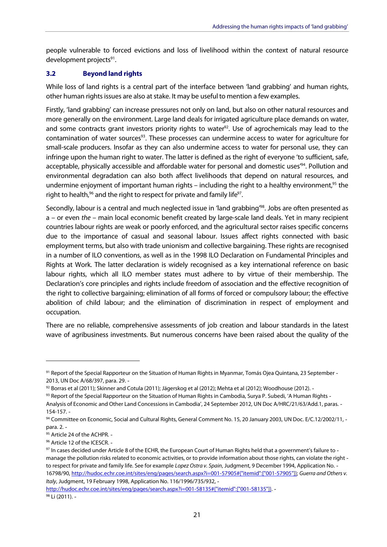<span id="page-21-0"></span> people vulnerable to forced evictions and loss of livelihood within the context of natural resource development projects<sup>91</sup>.

#### **Beyond land rights 3.2**

 While loss of land rights is a central part of the interface between 'land grabbing' and human rights, other human rights issues are also at stake. It may be useful to mention a few examples.

 Firstly, 'land grabbing' can increase pressures not only on land, but also on other natural resources and more generally on the environment. Large land deals for irrigated agriculture place demands on water, and some contracts grant investors priority rights to water<sup>92</sup>. Use of agrochemicals may lead to the contamination of water sources<sup>93</sup>. These processes can undermine access to water for agriculture for small-scale producers. Insofar as they can also undermine access to water for personal use, they can infringe upon the human right to water. The latter is defined as the right of everyone 'to sufficient, safe, acceptable, physically accessible and affordable water for personal and domestic uses<sup>r94</sup>. Pollution and environmental degradation can also both affect livelihoods that depend on natural resources, and undermine enjoyment of important human rights – including the right to a healthy environment,<sup>95</sup> the right to health,<sup>96</sup> and the right to respect for private and family life<sup>97</sup>.

Secondly, labour is a central and much neglected issue in 'land grabbing'<sup>98</sup>. Jobs are often presented as a – or even the – main local economic benefit created by large-scale land deals. Yet in many recipient countries labour rights are weak or poorly enforced, and the agricultural sector raises specific concerns due to the importance of casual and seasonal labour. Issues affect rights connected with basic employment terms, but also with trade unionism and collective bargaining. These rights are recognised in a number of ILO conventions, as well as in the 1998 ILO Declaration on Fundamental Principles and Rights at Work. The latter declaration is widely recognised as a key international reference on basic labour rights, which all ILO member states must adhere to by virtue of their membership. The Declaration's core principles and rights include freedom of association and the effective recognition of the right to collective bargaining; elimination of all forms of forced or compulsory labour; the effective abolition of child labour; and the elimination of discrimination in respect of employment and occupation.

 There are no reliable, comprehensive assessments of job creation and labour standards in the latest wave of agribusiness investments. But numerous concerns have been raised about the quality of the

 $^{91}$  Report of the Special Rapporteur on the Situation of Human Rights in Myanmar, Tomás Ojea Quintana, 23 September -2013, UN Doc A/68/397, para. 29.

 $^{92}$  Borras et al (2011); Skinner and Cotula (2011); Jägerskog et al (2012); Mehta et al (2012); Woodhouse (2012). -

 $^{93}$  Report of the Special Rapporteur on the Situation of Human Rights in Cambodia, Surya P. Subedi, 'A Human Rights - Analysis of Economic and Other Land Concessions in Cambodia', 24 September 2012, UN Doc A/HRC/21/63/Add.1, paras. 154-157.

<sup>&</sup>lt;sup>94</sup> Committee on Economic, Social and Cultural Rights, General Comment No. 15, 20 January 2003, UN Doc. E/C.12/2002/11, para. 2.

<sup>&</sup>lt;sup>95</sup> Article 24 of the ACHPR. -

<sup>&</sup>lt;sup>96</sup> Article 12 of the ICESCR. -

 $^{97}$  In cases decided under Article 8 of the ECHR, the European Court of Human Rights held that a government's failure to - manage the pollution risks related to economic activities, or to provide information about those rights, can violate the right to respect for private and family life. See for example Lopez Ostra v. Spain, Judgment, 9 December 1994, Application No. - Italy, Judgment, 19 February 1998, Application No. 116/1996/735/932, 16798/90, http://hudoc.echr.coe.int/sites/eng/pages/search.aspx?i=001-57905#{"itemid":["001-57905"]}; Guerra and Others v.

http://hudoc.echr.coe.int/sites/eng/pages/search.aspx?i=001-58135#{"itemid":["001-58135"]}. <sup>98</sup> Li (2011). -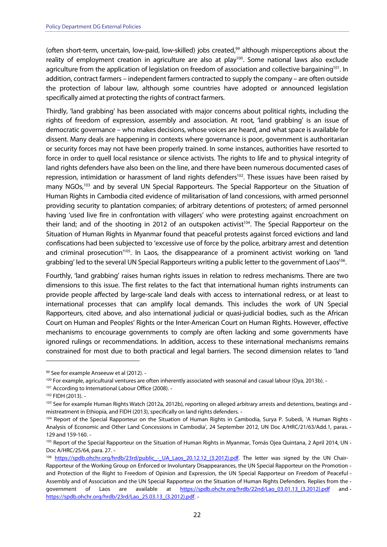(often short-term, uncertain, low-paid, low-skilled) jobs created,<sup>99</sup> although misperceptions about the reality of employment creation in agriculture are also at play<sup>100</sup>. Some national laws also exclude agriculture from the application of legislation on freedom of association and collective bargaining<sup>101</sup>. In addition, contract farmers – independent farmers contracted to supply the company – are often outside the protection of labour law, although some countries have adopted or announced legislation specifically aimed at protecting the rights of contract farmers.

 Thirdly, 'land grabbing' has been associated with major concerns about political rights, including the rights of freedom of expression, assembly and association. At root, 'land grabbing' is an issue of democratic governance – who makes decisions, whose voices are heard, and what space is available for dissent. Many deals are happening in contexts where governance is poor, government is authoritarian or security forces may not have been properly trained. In some instances, authorities have resorted to force in order to quell local resistance or silence activists. The rights to life and to physical integrity of land rights defenders have also been on the line, and there have been numerous documented cases of repression, intimidation or harassment of land rights defenders<sup>102</sup>. These issues have been raised by many NGOs,<sup>103</sup> and by several UN Special Rapporteurs. The Special Rapporteur on the Situation of Human Rights in Cambodia cited evidence of militarisation of land concessions, with armed personnel providing security to plantation companies; of arbitrary detentions of protesters; of armed personnel having 'used live fire in confrontation with villagers' who were protesting against encroachment on their land; and of the shooting in 2012 of an outspoken activist<sup>104</sup>. The Special Rapporteur on the Situation of Human Rights in Myanmar found that peaceful protests against forced evictions and land confiscations had been subjected to 'excessive use of force by the police, arbitrary arrest and detention and criminal prosecution<sup>105</sup>. In Laos, the disappearance of a prominent activist working on 'land grabbing' led to the several UN Special Rapporteurs writing a public letter to the government of Laos<sup>106</sup>.

 Fourthly, 'land grabbing' raises human rights issues in relation to redress mechanisms. There are two dimensions to this issue. The first relates to the fact that international human rights instruments can provide people affected by large-scale land deals with access to international redress, or at least to international processes that can amplify local demands. This includes the work of UN Special Rapporteurs, cited above, and also international judicial or quasi-judicial bodies, such as the African Court on Human and Peoples' Rights or the Inter-American Court on Human Rights. However, effective mechanisms to encourage governments to comply are often lacking and some governments have ignored rulings or recommendations. In addition, access to these international mechanisms remains constrained for most due to both practical and legal barriers. The second dimension relates to 'land

<sup>&</sup>lt;sup>99</sup> See for example Anseeuw et al (2012). -

<sup>&</sup>lt;sup>100</sup> For example, agricultural ventures are often inherently associated with seasonal and casual labour (Oya, 2013b). -

<sup>&</sup>lt;sup>101</sup> According to International Labour Office (2008). -

<sup>102</sup> FIDH (2013).

<sup>&</sup>lt;sup>103</sup> See for example Human Rights Watch (2012a, 2012b), reporting on alleged arbitrary arrests and detentions, beatings and -mistreatment in Ethiopia, and FIDH (2013), specifically on land rights defenders.

<sup>104</sup> Report of the Special Rapporteur on the Situation of Human Rights in Cambodia, Surya P. Subedi, 'A Human Rights - Analysis of Economic and Other Land Concessions in Cambodia', 24 September 2012, UN Doc A/HRC/21/63/Add.1, paras. 129 and 159-160.

<sup>&</sup>lt;sup>105</sup> Report of the Special Rapporteur on the Situation of Human Rights in Myanmar, Tomás Ojea Quintana, 2 April 2014, UN -Doc A/HRC/25/64, para. 27.

<sup>&</sup>lt;sup>106</sup> https://spdb.ohchr.org/hrdb/23rd/public - UA Laos 20.12.12 (3.2012).pdf. The letter was signed by the UN Chair- Rapporteur of the Working Group on Enforced or Involuntary Disappearances, the UN Special Rapporteur on the Promotion and Protection of the Right to Freedom of Opinion and Expression, the UN Special Rapporteur on Freedom of Peaceful Assembly and of Association and the UN Special Rapporteur on the Situation of Human Rights Defenders. Replies from the qovernment of Laos are available at https://spdb.ohchr.org/hrdb/22nd/Lao\_03.01.13\_(3.2012).pdf and https://spdb.ohchr.org/hrdb/23rd/Lao\_25.03.13\_(3.2012).pdf.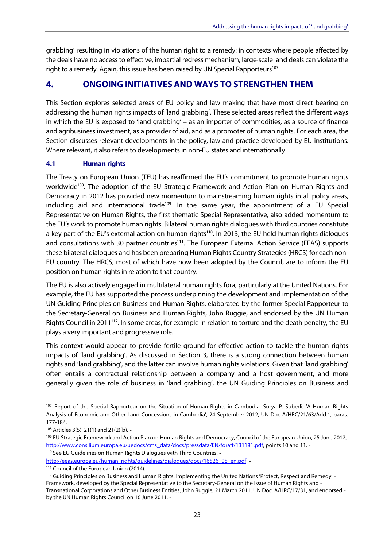<span id="page-23-0"></span> grabbing' resulting in violations of the human right to a remedy: in contexts where people affected by the deals have no access to effective, impartial redress mechanism, large-scale land deals can violate the right to a remedy. Again, this issue has been raised by UN Special Rapporteurs<sup>107</sup>.

## **4. ONGOING INITIATIVES AND WAYS TO STRENGTHEN THEM**

 This Section explores selected areas of EU policy and law making that have most direct bearing on addressing the human rights impacts of 'land grabbing'. These selected areas reflect the different ways in which the EU is exposed to 'land grabbing' – as an importer of commodities, as a source of finance and agribusiness investment, as a provider of aid, and as a promoter of human rights. For each area, the Section discusses relevant developments in the policy, law and practice developed by EU institutions. Where relevant, it also refers to developments in non-EU states and internationally.

### **4.1 Human rights**

 The Treaty on European Union (TEU) has reaffirmed the EU's commitment to promote human rights worldwide<sup>108</sup>. The adoption of the EU Strategic Framework and Action Plan on Human Rights and Democracy in 2012 has provided new momentum to mainstreaming human rights in all policy areas, including aid and international trade<sup>109</sup>. In the same year, the appointment of a EU Special Representative on Human Rights, the first thematic Special Representative, also added momentum to the EU's work to promote human rights. Bilateral human rights dialogues with third countries constitute a key part of the EU's external action on human rights<sup>110</sup>. In 2013, the EU held human rights dialogues and consultations with 30 partner countries<sup>111</sup>. The European External Action Service (EEAS) supports these bilateral dialogues and has been preparing Human Rights Country Strategies (HRCS) for each non- EU country. The HRCS, most of which have now been adopted by the Council, are to inform the EU position on human rights in relation to that country.

 The EU is also actively engaged in multilateral human rights fora, particularly at the United Nations. For example, the EU has supported the process underpinning the development and implementation of the UN Guiding Principles on Business and Human Rights, elaborated by the former Special Rapporteur to the Secretary-General on Business and Human Rights, John Ruggie, and endorsed by the UN Human Rights Council in 2011<sup>112</sup>. In some areas, for example in relation to torture and the death penalty, the EU plays a very important and progressive role.

 This context would appear to provide fertile ground for effective action to tackle the human rights impacts of 'land grabbing'. As discussed in Section 3, there is a strong connection between human rights and 'land grabbing', and the latter can involve human rights violations. Given that 'land grabbing' often entails a contractual relationship between a company and a host government, and more generally given the role of business in 'land grabbing', the UN Guiding Principles on Business and

http://eeas.europa.eu/human\_rights/guidelines/dialogues/docs/16526\_08\_en.pdf. -

<sup>&</sup>lt;sup>107</sup> Report of the Special Rapporteur on the Situation of Human Rights in Cambodia, Surya P. Subedi, 'A Human Rights - Analysis of Economic and Other Land Concessions in Cambodia', 24 September 2012, UN Doc A/HRC/21/63/Add.1, paras. 177-184.

<sup>108</sup> Articles 3(5), 21(1) and 21(2)(b). -

<sup>&</sup>lt;sup>109</sup> EU Strategic Framework and Action Plan on Human Rights and Democracy, Council of the European Union, 25 June 2012, http://www.consilium.europa.eu/uedocs/cms\_data/docs/pressdata/EN/foraff/131181.pdf, points 10 and 11. -<sup>110</sup> See EU Guidelines on Human Rights Dialogues with Third Countries, -

<sup>&</sup>lt;sup>111</sup> Council of the European Union (2014). -

<sup>&</sup>lt;sup>112</sup> Guiding Principles on Business and Human Rights: Implementing the United Nations 'Protect, Respect and Remedy' - Framework, developed by the Special Representative to the Secretary-General on the Issue of Human Rights and Transnational Corporations and Other Business Entities, John Ruggie, 21 March 2011, UN Doc. A/HRC/17/31, and endorsed by the UN Human Rights Council on 16 June 2011.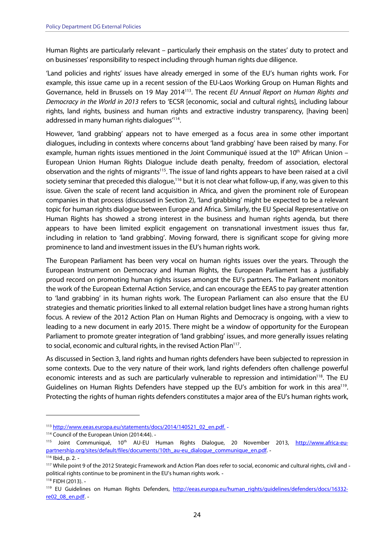Human Rights are particularly relevant – particularly their emphasis on the states' duty to protect and on businesses' responsibility to respect including through human rights due diligence.

 'Land policies and rights' issues have already emerged in some of the EU's human rights work. For example, this issue came up in a recent session of the EU-Laos Working Group on Human Rights and Governance, held in Brussels on 19 May 2014<sup>113</sup>. The recent EU Annual Report on Human Rights and  $\overline{a}$  rights, land rights, business and human rights and extractive industry transparency, [having been] addressed in many human rights dialogues<sup>'114</sup>. Democracy in the World in 2013 refers to 'ECSR [economic, social and cultural rights], including labour

 However, 'land grabbing' appears not to have emerged as a focus area in some other important dialogues, including in contexts where concerns about 'land grabbing' have been raised by many. For example, human rights issues mentioned in the Joint Communiqué issued at the  $10<sup>th</sup>$  African Union – European Union Human Rights Dialogue include death penalty, freedom of association, electoral observation and the rights of migrants<sup>115</sup>. The issue of land rights appears to have been raised at a civil society seminar that preceded this dialogue,<sup>116</sup> but it is not clear what follow-up, if any, was given to this issue. Given the scale of recent land acquisition in Africa, and given the prominent role of European companies in that process (discussed in Section 2), 'land grabbing' might be expected to be a relevant topic for human rights dialogue between Europe and Africa. Similarly, the EU Special Representative on Human Rights has showed a strong interest in the business and human rights agenda, but there appears to have been limited explicit engagement on transnational investment issues thus far, including in relation to 'land grabbing'. Moving forward, there is significant scope for giving more prominence to land and investment issues in the EU's human rights work.

 The European Parliament has been very vocal on human rights issues over the years. Through the European Instrument on Democracy and Human Rights, the European Parliament has a justifiably proud record on promoting human rights issues amongst the EU's partners. The Parliament monitors the work of the European External Action Service, and can encourage the EEAS to pay greater attention to 'land grabbing' in its human rights work. The European Parliament can also ensure that the EU strategies and thematic priorities linked to all external relation budget lines have a strong human rights focus. A review of the 2012 Action Plan on Human Rights and Democracy is ongoing, with a view to leading to a new document in early 2015. There might be a window of opportunity for the European Parliament to promote greater integration of 'land grabbing' issues, and more generally issues relating to social, economic and cultural rights, in the revised Action Plan<sup>117</sup>.

 As discussed in Section 3, land rights and human rights defenders have been subjected to repression in some contexts. Due to the very nature of their work, land rights defenders often challenge powerful economic interests and as such are particularly vulnerable to repression and intimidation<sup>118</sup>. The EU Guidelines on Human Rights Defenders have stepped up the EU's ambition for work in this area<sup>119</sup>. Protecting the rights of human rights defenders constitutes a major area of the EU's human rights work,

<sup>113</sup> http://www.eeas.europa.eu/statements/docs/2014/140521\_02\_en.pdf. -

<sup>114</sup> Council of the European Union (2014:44). -

<sup>&</sup>lt;sup>115</sup> Joint Communiqué, 10<sup>th</sup> AU-EU Human Rights Dialogue, 20 November 2013, http://www.africa-eupartnership.org/sites/default/files/documents/10th\_au-eu\_dialogue\_communique\_en.pdf. -

<sup>116</sup> Ibid., p. 2. -

<sup>&</sup>lt;sup>117</sup> While point 9 of the 2012 Strategic Framework and Action Plan does refer to social, economic and cultural rights, civil and - political rights continue to be prominent in the EU's human rights work. 118 FIDH (2013).

<sup>&</sup>lt;sup>119</sup> EU Guidelines on Human Rights Defenders, http://eeas.europa.eu/human\_rights/guidelines/defenders/docs/16332re02\_08\_en.pdf -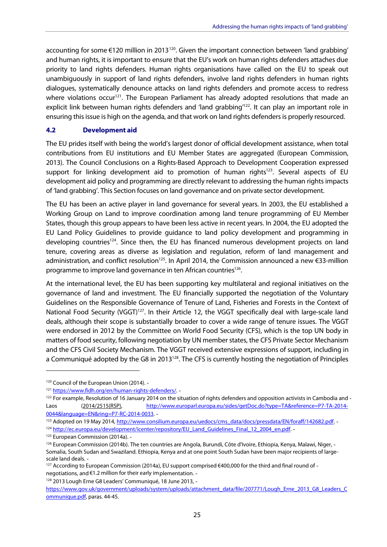<span id="page-25-0"></span>accounting for some  $\epsilon$ 120 million in 2013<sup>120</sup>. Given the important connection between 'land grabbing' and human rights, it is important to ensure that the EU's work on human rights defenders attaches due priority to land rights defenders. Human rights organisations have called on the EU to speak out unambiguously in support of land rights defenders, involve land rights defenders in human rights dialogues, systematically denounce attacks on land rights defenders and promote access to redress where violations occur<sup>121</sup>. The European Parliament has already adopted resolutions that made an explicit link between human rights defenders and 'land grabbing'<sup>122</sup>. It can play an important role in ensuring this issue is high on the agenda, and that work on land rights defenders is properly resourced.

#### **4.2 Development aid**

 The EU prides itself with being the world's largest donor of official development assistance, when total contributions from EU institutions and EU Member States are aggregated (European Commission, 2013). The Council Conclusions on a Rights-Based Approach to Development Cooperation expressed support for linking development aid to promotion of human rights<sup>123</sup>. Several aspects of EU development aid policy and programming are directly relevant to addressing the human rights impacts of 'land grabbing'. This Section focuses on land governance and on private sector development.

 The EU has been an active player in land governance for several years. In 2003, the EU established a Working Group on Land to improve coordination among land tenure programming of EU Member States, though this group appears to have been less active in recent years. In 2004, the EU adopted the EU Land Policy Guidelines to provide guidance to land policy development and programming in developing countries<sup>124</sup>. Since then, the EU has financed numerous development projects on land tenure, covering areas as diverse as legislation and regulation, reform of land management and administration, and conflict resolution<sup>125</sup>. In April 2014, the Commission announced a new  $\epsilon$ 33-million programme to improve land governance in ten African countries<sup>126</sup>.

 At the international level, the EU has been supporting key multilateral and regional initiatives on the governance of land and investment. The EU financially supported the negotiation of the Voluntary Guidelines on the Responsible Governance of Tenure of Land, Fisheries and Forests in the Context of National Food Security (VGGT)<sup>127</sup>. In their Article 12, the VGGT specifically deal with large-scale land deals, although their scope is substantially broader to cover a wide range of tenure issues. The VGGT were endorsed in 2012 by the Committee on World Food Security (CFS), which is the top UN body in matters of food security, following negotiation by UN member states, the CFS Private Sector Mechanism and the CFS Civil Society Mechanism. The VGGT received extensive expressions of support, including in a Communiqué adopted by the G8 in 2013<sup>128</sup>. The CFS is currently hosting the negotiation of Principles

<sup>&</sup>lt;sup>120</sup> Council of the European Union (2014). -

<sup>121</sup> https://www.fidh.org/en/human-rights-defenders/. -

 $122$  For example, Resolution of 16 January 2014 on the situation of rights defenders and opposition activists in Cambodia and -Laos (2014/2515(RSP), http://www.europarl.europa.eu/sides/getDoc.do?type=TA&reference=P7-TA-2014-0044&language=EN&ring=P7-RC-2014-0033.

<sup>&</sup>lt;sup>123</sup> Adopted on 19 May 2014, http://www.consilium.europa.eu/uedocs/cms\_data/docs/pressdata/EN/foraff/142682.pdf. -

<sup>124</sup> http://ec.europa.eu/development/icenter/repository/EU\_Land\_Guidelines\_Final\_12\_2004\_en.pdf. -

<sup>&</sup>lt;sup>125</sup> European Commission (2014a). -

<sup>&</sup>lt;sup>126</sup> European Commission (2014b). The ten countries are Angola, Burundi, Côte d'Ivoire, Ethiopia, Kenya, Malawi, Niger, - Somalia, South Sudan and Swaziland. Ethiopia, Kenya and at one point South Sudan have been major recipients of large-scale land deals.

<sup>&</sup>lt;sup>127</sup> According to European Commission (2014a), EU support comprised €400,000 for the third and final round of negotiations, and €1.2 million for their early implementation. -

<sup>&</sup>lt;sup>128</sup> 2013 Lough Erne G8 Leaders' Communiqué, 18 June 2013, -

ommunique.pdf, paras. 44-45. https://www.gov.uk/government/uploads/system/uploads/attachment\_data/file/207771/Lough\_Erne\_2013\_G8\_Leaders\_C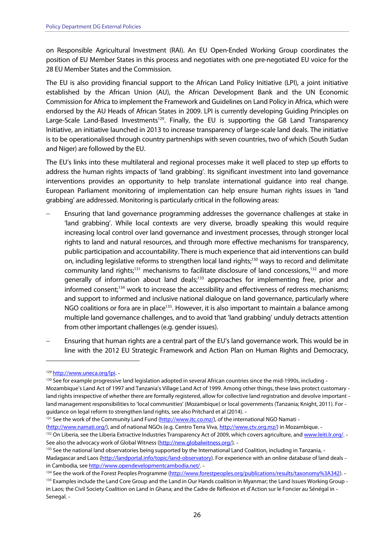on Responsible Agricultural Investment (RAI). An EU Open-Ended Working Group coordinates the position of EU Member States in this process and negotiates with one pre-negotiated EU voice for the 28 EU Member States and the Commission.

 The EU is also providing financial support to the African Land Policy Initiative (LPI), a joint initiative established by the African Union (AU), the African Development Bank and the UN Economic Commission for Africa to implement the Framework and Guidelines on Land Policy in Africa, which were endorsed by the AU Heads of African States in 2009. LPI is currently developing Guiding Principles on Large-Scale Land-Based Investments<sup>129</sup>. Finally, the EU is supporting the G8 Land Transparency Initiative, an initiative launched in 2013 to increase transparency of large-scale land deals. The initiative is to be operationalised through country partnerships with seven countries, two of which (South Sudan and Niger) are followed by the EU.

 The EU's links into these multilateral and regional processes make it well placed to step up efforts to address the human rights impacts of 'land grabbing'. Its significant investment into land governance interventions provides an opportunity to help translate international guidance into real change. European Parliament monitoring of implementation can help ensure human rights issues in 'land grabbing' are addressed. Monitoring is particularly critical in the following areas:

- Ensuring that land governance programming addresses the governance challenges at stake in 'land grabbing'. While local contexts are very diverse, broadly speaking this would require increasing local control over land governance and investment processes, through stronger local rights to land and natural resources, and through more effective mechanisms for transparency, public participation and accountability. There is much experience that aid interventions can build on, including legislative reforms to strengthen local land rights;<sup>130</sup> ways to record and delimitate community land rights;<sup>131</sup> mechanisms to facilitate disclosure of land concessions,<sup>132</sup> and more generally of information about land deals;<sup>133</sup> approaches for implementing free, prior and informed consent;<sup>134</sup> work to increase the accessibility and effectiveness of redress mechanisms; and support to informed and inclusive national dialogue on land governance, particularly where NGO coalitions or fora are in place<sup>135</sup>. However, it is also important to maintain a balance among multiple land governance challenges, and to avoid that 'land grabbing' unduly detracts attention from other important challenges (e.g. gender issues).
- Ensuring that human rights are a central part of the EU's land governance work. This would be in line with the 2012 EU Strategic Framework and Action Plan on Human Rights and Democracy,

<sup>134</sup> See the work of the Forest Peoples Programme (http://www.forestpeoples.org/publications/results/taxonomy%3A342).

<sup>129</sup> http://www.uneca.org/lpi. -

<sup>&</sup>lt;sup>130</sup> See for example progressive land legislation adopted in several African countries since the mid-1990s, including - Mozambique's Land Act of 1997 and Tanzania's Village Land Act of 1999. Among other things, these laws protect customary land rights irrespective of whether there are formally registered, allow for collective land registration and devolve important - land management responsibilities to 'local communities' (Mozambique) or local governments (Tanzania; Knight, 2011). For guidance on legal reform to strengthen land rights, see also Pritchard et al (2014).

<sup>&</sup>lt;sup>131</sup> See the work of the Community Land Fund (http://www.itc.co.mz/), of the international NGO Namati -

<sup>(</sup>http://www.namati.org/), and of national NGOs (e.g. Centro Terra Viva, http://www.ctv.org.mz/) in Mozambique. -

<sup>132</sup> On Liberia, see the Liberia Extractive Industries Transparency Act of 2009, which covers agriculture, and www.leiti.lr.org/. -See also the advocacy work of Global Witness (http://new.globalwitness.org/). -

<sup>&</sup>lt;sup>133</sup> See the national land observatories being supported by the International Land Coalition, including in Tanzania, -Madagascar and Laos (http://landportal.info/topic/land-observatory). For experience with an online database of land deals in Cambodia, see http://www.opendevelopmentcambodia.net/. -

<sup>&</sup>lt;sup>135</sup> Examples include the Land Core Group and the Land in Our Hands coalition in Myanmar; the Land Issues Working Group - in Laos; the Civil Society Coalition on Land in Ghana; and the Cadre de Réflexion et d'Action sur le Foncier au Sénégal in Senegal.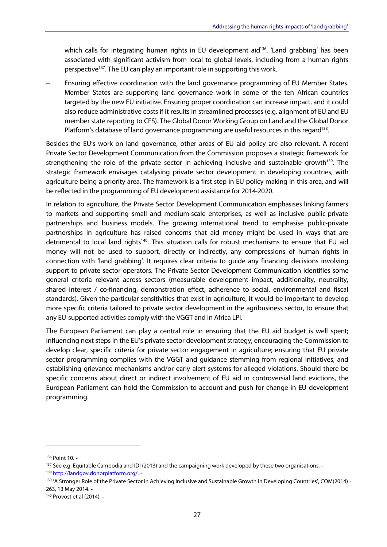which calls for integrating human rights in EU development aid<sup>136</sup>. 'Land grabbing' has been associated with significant activism from local to global levels, including from a human rights perspective<sup>137</sup>. The EU can play an important role in supporting this work.

 Ensuring effective coordination with the land governance programming of EU Member States. Member States are supporting land governance work in some of the ten African countries targeted by the new EU initiative. Ensuring proper coordination can increase impact, and it could also reduce administrative costs if it results in streamlined processes (e.g. alignment of EU and EU member state reporting to CFS). The Global Donor Working Group on Land and the Global Donor Platform's database of land governance programming are useful resources in this regard<sup>138</sup>.

 Besides the EU's work on land governance, other areas of EU aid policy are also relevant. A recent Private Sector Development Communication from the Commission proposes a strategic framework for strengthening the role of the private sector in achieving inclusive and sustainable growth<sup>139</sup>. The strategic framework envisages catalysing private sector development in developing countries, with agriculture being a priority area. The framework is a first step in EU policy making in this area, and will be reflected in the programming of EU development assistance for 2014-2020.

 In relation to agriculture, the Private Sector Development Communication emphasises linking farmers to markets and supporting small and medium-scale enterprises, as well as inclusive public-private partnerships and business models. The growing international trend to emphasise public-private partnerships in agriculture has raised concerns that aid money might be used in ways that are detrimental to local land rights<sup>140</sup>. This situation calls for robust mechanisms to ensure that EU aid money will not be used to support, directly or indirectly, any compressions of human rights in connection with 'land grabbing'. It requires clear criteria to guide any financing decisions involving support to private sector operators. The Private Sector Development Communication identifies some general criteria relevant across sectors (measurable development impact, additionality, neutrality, shared interest / co-financing, demonstration effect, adherence to social, environmental and fiscal standards). Given the particular sensitivities that exist in agriculture, it would be important to develop more specific criteria tailored to private sector development in the agribusiness sector, to ensure that any EU-supported activities comply with the VGGT and in Africa LPI.

 The European Parliament can play a central role in ensuring that the EU aid budget is well spent; influencing next steps in the EU's private sector development strategy; encouraging the Commission to develop clear, specific criteria for private sector engagement in agriculture; ensuring that EU private sector programming complies with the VGGT and guidance stemming from regional initiatives; and establishing grievance mechanisms and/or early alert systems for alleged violations. Should there be specific concerns about direct or indirect involvement of EU aid in controversial land evictions, the European Parliament can hold the Commission to account and push for change in EU development programming.

<sup>136</sup> Point 10.

<sup>&</sup>lt;sup>137</sup> See e.g. Equitable Cambodia and IDI (2013) and the campaigning work developed by these two organisations. -

<sup>138</sup> http://landgov.donorplatform.org/. -

<sup>139 &#</sup>x27;A Stronger Role of the Private Sector in Achieving Inclusive and Sustainable Growth in Developing Countries', COM(2014) -263, 13 May 2014.

 140 Provost et al (2014).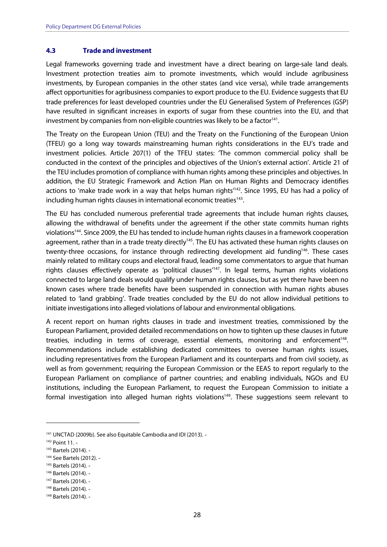#### <span id="page-28-0"></span> **Trade and investment 4.3**

 Legal frameworks governing trade and investment have a direct bearing on large-sale land deals. Investment protection treaties aim to promote investments, which would include agribusiness investments, by European companies in the other states (and vice versa), while trade arrangements affect opportunities for agribusiness companies to export produce to the EU. Evidence suggests that EU trade preferences for least developed countries under the EU Generalised System of Preferences (GSP) have resulted in significant increases in exports of sugar from these countries into the EU, and that investment by companies from non-eligible countries was likely to be a factor<sup>141</sup>.

 The Treaty on the European Union (TEU) and the Treaty on the Functioning of the European Union (TFEU) go a long way towards mainstreaming human rights considerations in the EU's trade and investment policies. Article 207(1) of the TFEU states: 'The common commercial policy shall be conducted in the context of the principles and objectives of the Union's external action'. Article 21 of the TEU includes promotion of compliance with human rights among these principles and objectives. In addition, the EU Strategic Framework and Action Plan on Human Rights and Democracy identifies actions to 'make trade work in a way that helps human rights<sup>'142</sup>. Since 1995, EU has had a policy of including human rights clauses in international economic treaties<sup>143</sup>.

 The EU has concluded numerous preferential trade agreements that include human rights clauses, allowing the withdrawal of benefits under the agreement if the other state commits human rights violations<sup>144</sup>. Since 2009, the EU has tended to include human rights clauses in a framework cooperation agreement, rather than in a trade treaty directly<sup>145</sup>. The EU has activated these human rights clauses on twenty-three occasions, for instance through redirecting development aid funding<sup>146</sup>. These cases mainly related to military coups and electoral fraud, leading some commentators to argue that human rights clauses effectively operate as 'political clauses<sup>'147</sup>. In legal terms, human rights violations connected to large land deals would qualify under human rights clauses, but as yet there have been no known cases where trade benefits have been suspended in connection with human rights abuses related to 'land grabbing'. Trade treaties concluded by the EU do not allow individual petitions to initiate investigations into alleged violations of labour and environmental obligations.

 A recent report on human rights clauses in trade and investment treaties, commissioned by the European Parliament, provided detailed recommendations on how to tighten up these clauses in future treaties, including in terms of coverage, essential elements, monitoring and enforcement<sup>148</sup>. Recommendations include establishing dedicated committees to oversee human rights issues, including representatives from the European Parliament and its counterparts and from civil society, as well as from government; requiring the European Commission or the EEAS to report regularly to the European Parliament on compliance of partner countries; and enabling individuals, NGOs and EU institutions, including the European Parliament, to request the European Commission to initiate a formal investigation into alleged human rights violations<sup>149</sup>. These suggestions seem relevant to

<sup>&</sup>lt;sup>141</sup> UNCTAD (2009b). See also Equitable Cambodia and IDI (2013). -

<sup>142</sup> Point 11.

<sup>143</sup> Bartels (2014). -

<sup>144</sup> See Bartels (2012). -

<sup>145</sup> Bartels (2014). -

<sup>146</sup> Bartels (2014). -

<sup>147</sup> Bartels (2014).

<sup>148</sup> Bartels (2014). -

<sup>149</sup> Bartels (2014). -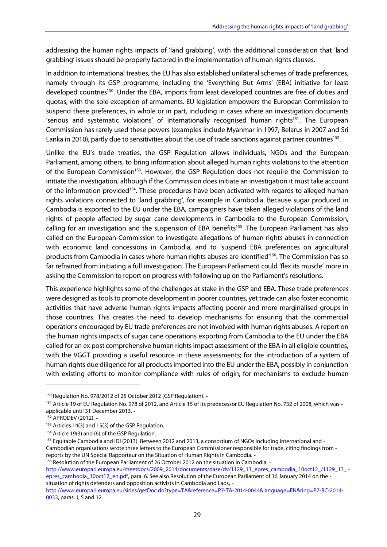addressing the human rights impacts of 'land grabbing', with the additional consideration that 'land grabbing' issues should be properly factored in the implementation of human rights clauses.

 In addition to international treaties, the EU has also established unilateral schemes of trade preferences, namely through its GSP programme, including the 'Everything But Arms' (EBA) initiative for least developed countries<sup>150</sup>. Under the EBA, imports from least developed countries are free of duties and quotas, with the sole exception of armaments. EU legislation empowers the European Commission to suspend these preferences, in whole or in part, including in cases where an investigation documents 'serious and systematic violations' of internationally recognised human rights<sup>151</sup>. The European Commission has rarely used these powers (examples include Myanmar in 1997, Belarus in 2007 and Sri Lanka in 2010), partly due to sensitivities about the use of trade sanctions against partner countries<sup>152</sup>.

 Unlike the EU's trade treaties, the GSP Regulation allows individuals, NGOs and the European Parliament, among others, to bring information about alleged human rights violations to the attention of the European Commission<sup>153</sup>. However, the GSP Regulation does not require the Commission to initiate the investigation, although if the Commission does initiate an investigation it must take account of the information provided<sup>154</sup>. These procedures have been activated with regards to alleged human rights violations connected to 'land grabbing', for example in Cambodia. Because sugar produced in Cambodia is exported to the EU under the EBA, campaigners have taken alleged violations of the land rights of people affected by sugar cane developments in Cambodia to the European Commission, calling for an investigation and the suspension of EBA benefits<sup>155</sup>. The European Parliament has also called on the European Commission to investigate allegations of human rights abuses in connection with economic land concessions in Cambodia, and to 'suspend EBA preferences on agricultural products from Cambodia in cases where human rights abuses are identified<sup>156</sup>. The Commission has so far refrained from initiating a full investigation. The European Parliament could 'flex its muscle' more in asking the Commission to report on progress with following up on the Parliament's resolutions.

 This experience highlights some of the challenges at stake in the GSP and EBA. These trade preferences were designed as tools to promote development in poorer countries, yet trade can also foster economic activities that have adverse human rights impacts affecting poorer and more marginalised groups in those countries. This creates the need to develop mechanisms for ensuring that the commercial operations encouraged by EU trade preferences are not involved with human rights abuses. A report on the human rights impacts of sugar cane operations exporting from Cambodia to the EU under the EBA called for an ex post comprehensive human rights impact assessment of the EBA in all eligible countries, with the VGGT providing a useful resource in these assessments; for the introduction of a system of human rights due diligence for all products imported into the EU under the EBA, possibly in conjunction with existing efforts to monitor compliance with rules of origin; for mechanisms to exclude human

<sup>156</sup> Resolution of the European Parliament of 26 October 2012 on the situation in Cambodia, -

epres\_cambodia\_10oct12\_en.pdf, para. 6. See also Resolution of the European Parliament of 16 January 2014 on the - situation of rights defenders and opposition activists in Cambodia and Laos, http://www.europarl.europa.eu/meetdocs/2009\_2014/documents/dase/dv/1129\_13\_epres\_cambodia\_10oct12\_/1129\_13\_-

<sup>&</sup>lt;sup>150</sup> Regulation No. 978/2012 of 25 October 2012 (GSP Regulation). -

<sup>&</sup>lt;sup>151</sup> Article 19 of EU Regulation No. 978 of 2012, and Article 15 of its predecessor EU Regulation No. 732 of 2008, which was -applicable until 31 December 2013.

<sup>152</sup> APRODEV (2012).

<sup>&</sup>lt;sup>153</sup> Articles 14(3) and 15(3) of the GSP Regulation. -

<sup>&</sup>lt;sup>154</sup> Article 19(3) and (6) of the GSP Regulation. -

<sup>&</sup>lt;sup>155</sup> Equitable Cambodia and IDI (2013). Between 2012 and 2013, a consortium of NGOs including international and - Cambodian organisations wrote three letters to the European Commissioner responsible for trade, citing findings from reports by the UN Special Rapporteur on the Situation of Human Rights in Cambodia.

<sup>0033,</sup> paras. J, 5 and 12. http://www.europarl.europa.eu/sides/getDoc.do?type=TA&reference=P7-TA-2014-0044&language=EN&ring=P7-RC-2014-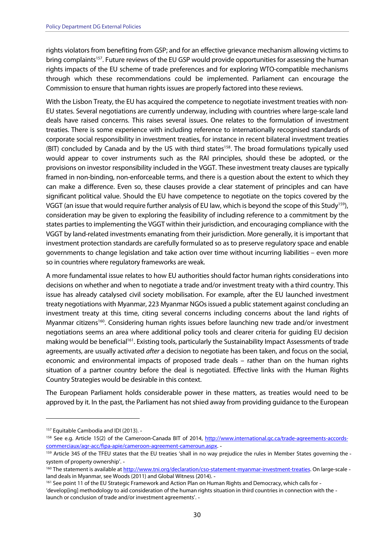rights violators from benefiting from GSP; and for an effective grievance mechanism allowing victims to bring complaints<sup>157</sup>. Future reviews of the EU GSP would provide opportunities for assessing the human rights impacts of the EU scheme of trade preferences and for exploring WTO-compatible mechanisms through which these recommendations could be implemented. Parliament can encourage the Commission to ensure that human rights issues are properly factored into these reviews.

 With the Lisbon Treaty, the EU has acquired the competence to negotiate investment treaties with non- EU states. Several negotiations are currently underway, including with countries where large-scale land deals have raised concerns. This raises several issues. One relates to the formulation of investment treaties. There is some experience with including reference to internationally recognised standards of corporate social responsibility in investment treaties, for instance in recent bilateral investment treaties (BIT) concluded by Canada and by the US with third states<sup>158</sup>. The broad formulations typically used would appear to cover instruments such as the RAI principles, should these be adopted, or the provisions on investor responsibility included in the VGGT. These investment treaty clauses are typically framed in non-binding, non-enforceable terms, and there is a question about the extent to which they can make a difference. Even so, these clauses provide a clear statement of principles and can have significant political value. Should the EU have competence to negotiate on the topics covered by the VGGT (an issue that would require further analysis of EU law, which is beyond the scope of this Study<sup>159</sup>), consideration may be given to exploring the feasibility of including reference to a commitment by the states parties to implementing the VGGT within their jurisdiction, and encouraging compliance with the VGGT by land-related investments emanating from their jurisdiction. More generally, it is important that investment protection standards are carefully formulated so as to preserve regulatory space and enable governments to change legislation and take action over time without incurring liabilities – even more so in countries where regulatory frameworks are weak.

 A more fundamental issue relates to how EU authorities should factor human rights considerations into decisions on whether and when to negotiate a trade and/or investment treaty with a third country. This issue has already catalysed civil society mobilisation. For example, after the EU launched investment treaty negotiations with Myanmar, 223 Myanmar NGOs issued a public statement against concluding an investment treaty at this time, citing several concerns including concerns about the land rights of Myanmar citizens<sup>160</sup>. Considering human rights issues before launching new trade and/or investment negotiations seems an area where additional policy tools and clearer criteria for guiding EU decision making would be beneficial<sup>161</sup>. Existing tools, particularly the Sustainability Impact Assessments of trade agreements, are usually activated *after* a decision to negotiate has been taken, and focus on the social, economic and environmental impacts of proposed trade deals – rather than on the human rights situation of a partner country before the deal is negotiated. Effective links with the Human Rights Country Strategies would be desirable in this context.

 The European Parliament holds considerable power in these matters, as treaties would need to be approved by it. In the past, the Parliament has not shied away from providing guidance to the European

<sup>&</sup>lt;sup>157</sup> Equitable Cambodia and IDI (2013). -

<sup>&</sup>lt;sup>158</sup> See e.g. Article 15(2) of the Cameroon-Canada BIT of 2014, http://www.international.gc.ca/trade-agreements-accordscommerciaux/agr-acc/fipa-apie/cameroon-agreement-cameroun.aspx.

<sup>&</sup>lt;sup>159</sup> Article 345 of the TFEU states that the EU treaties 'shall in no way prejudice the rules in Member States governing the -system of property ownership'.

<sup>&</sup>lt;sup>160</sup> The statement is available at http://www.tni.org/declaration/cso-statement-myanmar-investment-treaties. On large-scale -land deals in Myanmar, see Woods (2011) and Global Witness (2014).

<sup>&</sup>lt;sup>161</sup> See point 11 of the EU Strategic Framework and Action Plan on Human Rights and Democracy, which calls for - 'develop[ing] methodology to aid consideration of the human rights situation in third countries in connection with the launch or conclusion of trade and/or investment agreements'.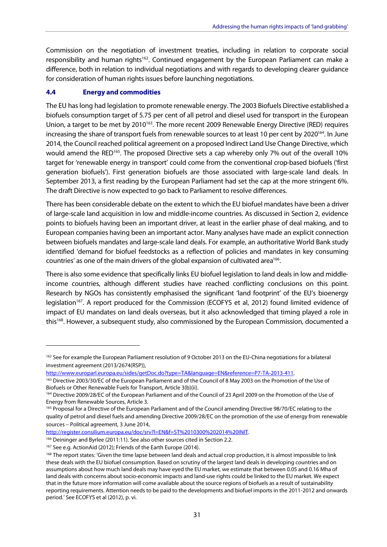<span id="page-31-0"></span> Commission on the negotiation of investment treaties, including in relation to corporate social responsibility and human rights<sup>162</sup>. Continued engagement by the European Parliament can make a difference, both in relation to individual negotiations and with regards to developing clearer guidance for consideration of human rights issues before launching negotiations.

#### **Energy and commodities 4.4**

 The EU has long had legislation to promote renewable energy. The 2003 Biofuels Directive established a biofuels consumption target of 5.75 per cent of all petrol and diesel used for transport in the European Union, a target to be met by 2010<sup>163</sup>. The more recent 2009 Renewable Energy Directive (RED) requires increasing the share of transport fuels from renewable sources to at least 10 per cent by 2020<sup>164</sup>. In June 2014, the Council reached political agreement on a proposed Indirect Land Use Change Directive, which would amend the RED<sup>165</sup>. The proposed Directive sets a cap whereby only 7% out of the overall 10% target for 'renewable energy in transport' could come from the conventional crop-based biofuels ('first generation biofuels'). First generation biofuels are those associated with large-scale land deals. In September 2013, a first reading by the European Parliament had set the cap at the more stringent 6%. The draft Directive is now expected to go back to Parliament to resolve differences.

 There has been considerable debate on the extent to which the EU biofuel mandates have been a driver of large-scale land acquisition in low and middle-income countries. As discussed in Section 2, evidence points to biofuels having been an important driver, at least in the earlier phase of deal making, and to European companies having been an important actor. Many analyses have made an explicit connection between biofuels mandates and large-scale land deals. For example, an authoritative World Bank study identified 'demand for biofuel feedstocks as a reflection of policies and mandates in key consuming countries' as one of the main drivers of the global expansion of cultivated area<sup>166</sup>.

 There is also some evidence that specifically links EU biofuel legislation to land deals in low and middle- income countries, although different studies have reached conflicting conclusions on this point. Research by NGOs has consistently emphasised the significant 'land footprint' of the EU's bioenergy legislation<sup>167</sup>. A report produced for the Commission (ECOFYS et al, 2012) found limited evidence of impact of EU mandates on land deals overseas, but it also acknowledged that timing played a role in this<sup>168</sup>. However, a subsequent study, also commissioned by the European Commission, documented a

<u>http://register.consilium.europa.eu/doc/srv?l=EN&f=ST%2010300%202014%20INIT</u>.<br><sup>166</sup> Deininger and Byrlee (2011:11). See also other sources cited in Section 2.2.<br><sup>167</sup> See e.g. ActionAid (2012); Friends of the Earth Europe

<sup>&</sup>lt;sup>162</sup> See for example the European Parliament resolution of 9 October 2013 on the EU-China negotiations for a bilateral investment agreement (2013/2674(RSP)),

<sup>&</sup>lt;u>http://www.europarl.europa.eu/sides/getDoc.do?type=TA&language=EN&reference=P7-TA-2013-411</u>.<br><sup>163</sup> Directive 2003/30/EC of the European Parliament and of the Council of 8 May 2003 on the Promotion of the Use of Biofuels or Other Renewable Fuels for Transport, Article 3(b)(ii). Biofuels or Other Renewable Fuels for Transport, Article 3(b)(ii).<br><sup>164</sup> Directive 2009/28/EC of the European Parliament and of the Council of 23 April 2009 on the Promotion of the Use of

Energy from Renewable Sources, Article 3. Energy from Renewable Sources, Article 3.<br><sup>165</sup> Proposal for a Directive of the European Parliament and of the Council amending Directive 98/70/EC relating to the

 quality of petrol and diesel fuels and amending Directive 2009/28/EC on the promotion of the use of energy from renewable sources – Political agreement, 3 June 2014,

<sup>&</sup>lt;sup>167</sup> See e.g. ActionAid (2012); Friends of the Earth Europe (2014).

<sup>&</sup>lt;sup>168</sup> The report states: 'Given the time lapse between land deals and actual crop production, it is almost impossible to link these deals with the EU biofuel consumption. Based on scrutiny of the largest land deals in developing countries and on assumptions about how much land deals may have eyed the EU market, we estimate that between 0.05 and 0.16 Mha of land deals with concerns about socio-economic impacts and land-use rights could be linked to the EU market. We expect that in the future more information will come available about the source regions of biofuels as a result of sustainability reporting requirements. Attention needs to be paid to the developments and biofuel imports in the 2011-2012 and onwards period.' See ECOFYS et al (2012), p. vi.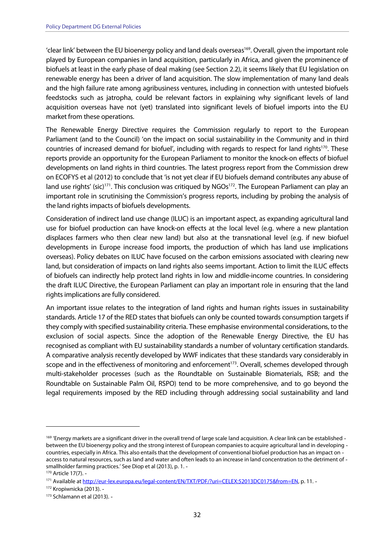'clear link' between the EU bioenergy policy and land deals overseas<sup>169</sup>. Overall, given the important role played by European companies in land acquisition, particularly in Africa, and given the prominence of biofuels at least in the early phase of deal making (see Section 2.2), it seems likely that EU legislation on renewable energy has been a driver of land acquisition. The slow implementation of many land deals and the high failure rate among agribusiness ventures, including in connection with untested biofuels feedstocks such as jatropha, could be relevant factors in explaining why significant levels of land acquisition overseas have not (yet) translated into significant levels of biofuel imports into the EU market from these operations.

 The Renewable Energy Directive requires the Commission regularly to report to the European Parliament (and to the Council) 'on the impact on social sustainability in the Community and in third countries of increased demand for biofuel', including with regards to respect for land rights<sup>170</sup>. These reports provide an opportunity for the European Parliament to monitor the knock-on effects of biofuel developments on land rights in third countries. The latest progress report from the Commission drew on ECOFYS et al (2012) to conclude that 'is not yet clear if EU biofuels demand contributes any abuse of land use rights' (sic)<sup>171</sup>. This conclusion was critiqued by NGOs<sup>172</sup>. The European Parliament can play an important role in scrutinising the Commission's progress reports, including by probing the analysis of the land rights impacts of biofuels developments.

 Consideration of indirect land use change (ILUC) is an important aspect, as expanding agricultural land use for biofuel production can have knock-on effects at the local level (e.g. where a new plantation displaces farmers who then clear new land) but also at the transnational level (e.g. if new biofuel developments in Europe increase food imports, the production of which has land use implications overseas). Policy debates on ILUC have focused on the carbon emissions associated with clearing new land, but consideration of impacts on land rights also seems important. Action to limit the ILUC effects of biofuels can indirectly help protect land rights in low and middle-income countries. In considering the draft ILUC Directive, the European Parliament can play an important role in ensuring that the land rights implications are fully considered.

 An important issue relates to the integration of land rights and human rights issues in sustainability standards. Article 17 of the RED states that biofuels can only be counted towards consumption targets if they comply with specified sustainability criteria. These emphasise environmental considerations, to the exclusion of social aspects. Since the adoption of the Renewable Energy Directive, the EU has recognised as compliant with EU sustainability standards a number of voluntary certification standards. A comparative analysis recently developed by WWF indicates that these standards vary considerably in scope and in the effectiveness of monitoring and enforcement<sup>173</sup>. Overall, schemes developed through multi-stakeholder processes (such as the Roundtable on Sustainable Biomaterials, RSB; and the Roundtable on Sustainable Palm Oil, RSPO) tend to be more comprehensive, and to go beyond the legal requirements imposed by the RED including through addressing social sustainability and land

<sup>&</sup>lt;sup>169</sup> 'Energy markets are a significant driver in the overall trend of large scale land acquisition. A clear link can be established - between the EU bioenergy policy and the strong interest of European companies to acquire agricultural land in developing countries, especially in Africa. This also entails that the development of conventional biofuel production has an impact on access to natural resources, such as land and water and often leads to an increase in land concentration to the detriment of -smallholder farming practices.' See Diop et al (2013), p. 1.

<sup>170</sup> Article 17(7).

<sup>171</sup> Available at http://eur-lex.europa.eu/legal-content/EN/TXT/PDF/?uri=CELEX:52013DC0175&from=EN, p. 11. -

<sup>172</sup> Kropiwnicka (2013).

<sup>173</sup> Schlamann et al (2013). -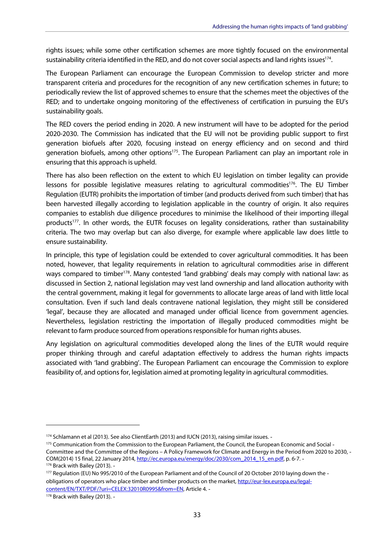rights issues; while some other certification schemes are more tightly focused on the environmental sustainability criteria identified in the RED, and do not cover social aspects and land rights issues<sup>174</sup>.

 The European Parliament can encourage the European Commission to develop stricter and more transparent criteria and procedures for the recognition of any new certification schemes in future; to periodically review the list of approved schemes to ensure that the schemes meet the objectives of the RED; and to undertake ongoing monitoring of the effectiveness of certification in pursuing the EU's sustainability goals.

 The RED covers the period ending in 2020. A new instrument will have to be adopted for the period 2020-2030. The Commission has indicated that the EU will not be providing public support to first generation biofuels after 2020, focusing instead on energy efficiency and on second and third generation biofuels, among other options<sup>175</sup>. The European Parliament can play an important role in ensuring that this approach is upheld.

 There has also been reflection on the extent to which EU legislation on timber legality can provide lessons for possible legislative measures relating to agricultural commodities<sup>176</sup>. The EU Timber Regulation (EUTR) prohibits the importation of timber (and products derived from such timber) that has been harvested illegally according to legislation applicable in the country of origin. It also requires companies to establish due diligence procedures to minimise the likelihood of their importing illegal products<sup>177</sup>. In other words, the EUTR focuses on legality considerations, rather than sustainability criteria. The two may overlap but can also diverge, for example where applicable law does little to ensure sustainability.

 In principle, this type of legislation could be extended to cover agricultural commodities. It has been noted, however, that legality requirements in relation to agricultural commodities arise in different ways compared to timber<sup>178</sup>. Many contested 'land grabbing' deals may comply with national law: as discussed in Section 2, national legislation may vest land ownership and land allocation authority with the central government, making it legal for governments to allocate large areas of land with little local consultation. Even if such land deals contravene national legislation, they might still be considered 'legal', because they are allocated and managed under official licence from government agencies. Nevertheless, legislation restricting the importation of illegally produced commodities might be relevant to farm produce sourced from operations responsible for human rights abuses.

 Any legislation on agricultural commodities developed along the lines of the EUTR would require proper thinking through and careful adaptation effectively to address the human rights impacts associated with 'land grabbing'. The European Parliament can encourage the Commission to explore feasibility of, and options for, legislation aimed at promoting legality in agricultural commodities.

<sup>&</sup>lt;sup>174</sup> Schlamann et al (2013). See also ClientEarth (2013) and IUCN (2013), raising similar issues. -

<sup>&</sup>lt;sup>175</sup> Communication from the Commission to the European Parliament, the Council, the European Economic and Social - Committee and the Committee of the Regions – A Policy Framework for Climate and Energy in the Period from 2020 to 2030, COM(2014) 15 final, 22 January 2014, http://ec.europa.eu/energy/doc/2030/com\_2014\_15\_en.pdf, p. 6-7. -

<sup>176</sup> Brack with Bailey (2013). -

<sup>&</sup>lt;sup>177</sup> Regulation (EU) No 995/2010 of the European Parliament and of the Council of 20 October 2010 laying down the obligations of operators who place timber and timber products on the market, http://eur-lex.europa.eu/legalcontent/EN/TXT/PDF/?uri=CELEX:32010R0995&from=EN, Article 4.

<sup>178</sup> Brack with Bailey (2013). -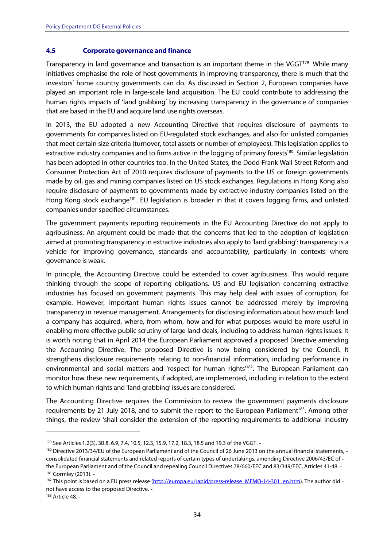#### <span id="page-34-0"></span> **Corporate governance and finance 4.5**

Transparency in land governance and transaction is an important theme in the VGGT<sup>179</sup>. While many initiatives emphasise the role of host governments in improving transparency, there is much that the investors' home country governments can do. As discussed in Section 2, European companies have played an important role in large-scale land acquisition. The EU could contribute to addressing the human rights impacts of 'land grabbing' by increasing transparency in the governance of companies that are based in the EU and acquire land use rights overseas.

 In 2013, the EU adopted a new Accounting Directive that requires disclosure of payments to governments for companies listed on EU-regulated stock exchanges, and also for unlisted companies that meet certain size criteria (turnover, total assets or number of employees). This legislation applies to extractive industry companies and to firms active in the logging of primary forests<sup>180</sup>. Similar legislation has been adopted in other countries too. In the United States, the Dodd-Frank Wall Street Reform and Consumer Protection Act of 2010 requires disclosure of payments to the US or foreign governments made by oil, gas and mining companies listed on US stock exchanges. Regulations in Hong Kong also require disclosure of payments to governments made by extractive industry companies listed on the Hong Kong stock exchange<sup>181</sup>. EU legislation is broader in that it covers logging firms, and unlisted companies under specified circumstances.

 The government payments reporting requirements in the EU Accounting Directive do not apply to agribusiness. An argument could be made that the concerns that led to the adoption of legislation aimed at promoting transparency in extractive industries also apply to 'land grabbing': transparency is a vehicle for improving governance, standards and accountability, particularly in contexts where governance is weak.

 In principle, the Accounting Directive could be extended to cover agribusiness. This would require thinking through the scope of reporting obligations. US and EU legislation concerning extractive industries has focused on government payments. This may help deal with issues of corruption, for example. However, important human rights issues cannot be addressed merely by improving transparency in revenue management. Arrangements for disclosing information about how much land a company has acquired, where, from whom, how and for what purposes would be more useful in enabling more effective public scrutiny of large land deals, including to address human rights issues. It is worth noting that in April 2014 the European Parliament approved a proposed Directive amending the Accounting Directive. The proposed Directive is now being considered by the Council. It strengthens disclosure requirements relating to non-financial information, including performance in environmental and social matters and 'respect for human rights<sup>182</sup>. The European Parliament can monitor how these new requirements, if adopted, are implemented, including in relation to the extent to which human rights and 'land grabbing' issues are considered.

 The Accounting Directive requires the Commission to review the government payments disclosure requirements by 21 July 2018, and to submit the report to the European Parliament<sup>183</sup>. Among other things, the review 'shall consider the extension of the reporting requirements to additional industry

<sup>179</sup> See Articles 1.2(3), 3B.8, 6.9, 7.4, 10.5, 12.3, 15.9, 17.2, 18.3, 18.5 and 19.3 of the VGGT. -

<sup>&</sup>lt;sup>180</sup> Directive 2013/34/EU of the European Parliament and of the Council of 26 June 2013 on the annual financial statements, - consolidated financial statements and related reports of certain types of undertakings, amending Directive 2006/43/EC of the European Parliament and of the Council and repealing Council Directives 78/660/EEC and 83/349/EEC, Articles 41-48. 181 Gormley (2013). -

<sup>&</sup>lt;sup>182</sup> This point is based on a EU press release (http://europa.eu/rapid/press-release\_MEMO-14-301\_en.htm). The author did -not have access to the proposed Directive.

<sup>183</sup> Article 48. -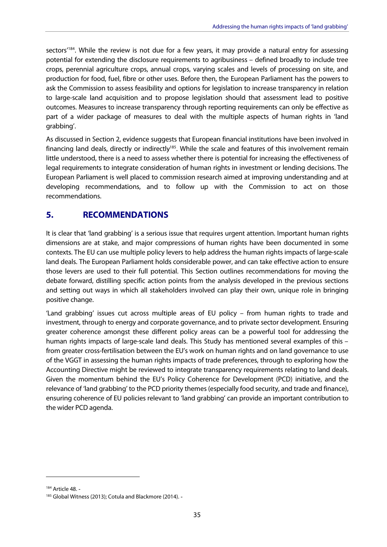<span id="page-35-0"></span>sectors<sup>'184</sup>. While the review is not due for a few years, it may provide a natural entry for assessing potential for extending the disclosure requirements to agribusiness – defined broadly to include tree crops, perennial agriculture crops, annual crops, varying scales and levels of processing on site, and production for food, fuel, fibre or other uses. Before then, the European Parliament has the powers to ask the Commission to assess feasibility and options for legislation to increase transparency in relation to large-scale land acquisition and to propose legislation should that assessment lead to positive outcomes. Measures to increase transparency through reporting requirements can only be effective as part of a wider package of measures to deal with the multiple aspects of human rights in 'land grabbing'.

 As discussed in Section 2, evidence suggests that European financial institutions have been involved in financing land deals, directly or indirectly<sup>185</sup>. While the scale and features of this involvement remain little understood, there is a need to assess whether there is potential for increasing the effectiveness of legal requirements to integrate consideration of human rights in investment or lending decisions. The European Parliament is well placed to commission research aimed at improving understanding and at developing recommendations, and to follow up with the Commission to act on those recommendations.

# **5. RECOMMENDATIONS**

 It is clear that 'land grabbing' is a serious issue that requires urgent attention. Important human rights dimensions are at stake, and major compressions of human rights have been documented in some contexts. The EU can use multiple policy levers to help address the human rights impacts of large-scale land deals. The European Parliament holds considerable power, and can take effective action to ensure those levers are used to their full potential. This Section outlines recommendations for moving the debate forward, distilling specific action points from the analysis developed in the previous sections and setting out ways in which all stakeholders involved can play their own, unique role in bringing positive change.

 'Land grabbing' issues cut across multiple areas of EU policy – from human rights to trade and investment, through to energy and corporate governance, and to private sector development. Ensuring greater coherence amongst these different policy areas can be a powerful tool for addressing the human rights impacts of large-scale land deals. This Study has mentioned several examples of this – from greater cross-fertilisation between the EU's work on human rights and on land governance to use of the VGGT in assessing the human rights impacts of trade preferences, through to exploring how the Accounting Directive might be reviewed to integrate transparency requirements relating to land deals. Given the momentum behind the EU's Policy Coherence for Development (PCD) initiative, and the relevance of 'land grabbing' to the PCD priority themes (especially food security, and trade and finance), ensuring coherence of EU policies relevant to 'land grabbing' can provide an important contribution to the wider PCD agenda.

<sup>&</sup>lt;sup>184</sup> Article 48. -

<sup>185</sup> Global Witness (2013); Cotula and Blackmore (2014). -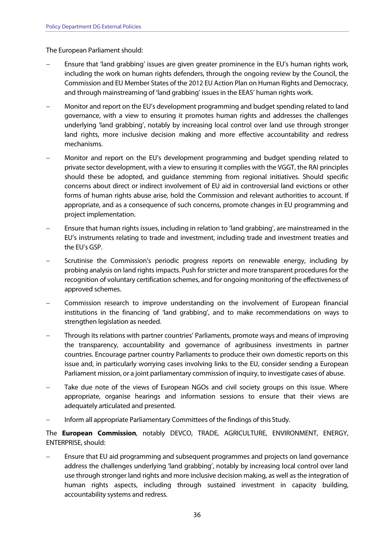The European Parliament should:

- Ensure that 'land grabbing' issues are given greater prominence in the EU's human rights work, including the work on human rights defenders, through the ongoing review by the Council, the Commission and EU Member States of the 2012 EU Action Plan on Human Rights and Democracy, and through mainstreaming of 'land grabbing' issues in the EEAS' human rights work.
- Monitor and report on the EU's development programming and budget spending related to land governance, with a view to ensuring it promotes human rights and addresses the challenges underlying 'land grabbing', notably by increasing local control over land use through stronger land rights, more inclusive decision making and more effective accountability and redress mechanisms.
- Monitor and report on the EU's development programming and budget spending related to private sector development, with a view to ensuring it complies with the VGGT, the RAI principles should these be adopted, and guidance stemming from regional initiatives. Should specific concerns about direct or indirect involvement of EU aid in controversial land evictions or other forms of human rights abuse arise, hold the Commission and relevant authorities to account. If appropriate, and as a consequence of such concerns, promote changes in EU programming and project implementation.
- Ensure that human rights issues, including in relation to 'land grabbing', are mainstreamed in the EU's instruments relating to trade and investment, including trade and investment treaties and the EU's GSP.
- Scrutinise the Commission's periodic progress reports on renewable energy, including by probing analysis on land rights impacts. Push for stricter and more transparent procedures for the recognition of voluntary certification schemes, and for ongoing monitoring of the effectiveness of approved schemes.
- Commission research to improve understanding on the involvement of European financial institutions in the financing of 'land grabbing', and to make recommendations on ways to strengthen legislation as needed.
- Through its relations with partner countries' Parliaments, promote ways and means of improving the transparency, accountability and governance of agribusiness investments in partner countries. Encourage partner country Parliaments to produce their own domestic reports on this issue and, in particularly worrying cases involving links to the EU, consider sending a European Parliament mission, or a joint parliamentary commission of inquiry, to investigate cases of abuse.
- Take due note of the views of European NGOs and civil society groups on this issue. Where appropriate, organise hearings and information sessions to ensure that their views are adequately articulated and presented.
- Inform all appropriate Parliamentary Committees of the findings of this Study.

 The **European Commission**, notably DEVCO, TRADE, AGRICULTURE, ENVIRONMENT, ENERGY, ENTERPRISE, should:

 Ensure that EU aid programming and subsequent programmes and projects on land governance address the challenges underlying 'land grabbing', notably by increasing local control over land use through stronger land rights and more inclusive decision making, as well as the integration of human rights aspects, including through sustained investment in capacity building, accountability systems and redress.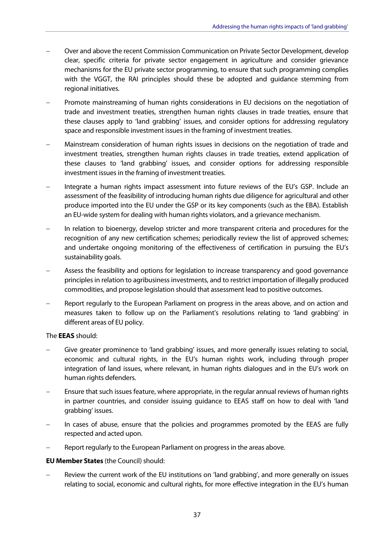- Over and above the recent Commission Communication on Private Sector Development, develop clear, specific criteria for private sector engagement in agriculture and consider grievance mechanisms for the EU private sector programming, to ensure that such programming complies with the VGGT, the RAI principles should these be adopted and guidance stemming from regional initiatives.
- Promote mainstreaming of human rights considerations in EU decisions on the negotiation of trade and investment treaties, strengthen human rights clauses in trade treaties, ensure that these clauses apply to 'land grabbing' issues, and consider options for addressing regulatory space and responsible investment issues in the framing of investment treaties.
- Mainstream consideration of human rights issues in decisions on the negotiation of trade and investment treaties, strengthen human rights clauses in trade treaties, extend application of these clauses to 'land grabbing' issues, and consider options for addressing responsible investment issues in the framing of investment treaties.
- Integrate a human rights impact assessment into future reviews of the EU's GSP. Include an assessment of the feasibility of introducing human rights due diligence for agricultural and other produce imported into the EU under the GSP or its key components (such as the EBA). Establish an EU-wide system for dealing with human rights violators, and a grievance mechanism.
- In relation to bioenergy, develop stricter and more transparent criteria and procedures for the recognition of any new certification schemes; periodically review the list of approved schemes; and undertake ongoing monitoring of the effectiveness of certification in pursuing the EU's sustainability goals.
- Assess the feasibility and options for legislation to increase transparency and good governance principles in relation to agribusiness investments, and to restrict importation of illegally produced commodities, and propose legislation should that assessment lead to positive outcomes.
- Report regularly to the European Parliament on progress in the areas above, and on action and measures taken to follow up on the Parliament's resolutions relating to 'land grabbing' in different areas of EU policy.

### The **EEAS** should:

- Give greater prominence to 'land grabbing' issues, and more generally issues relating to social, economic and cultural rights, in the EU's human rights work, including through proper integration of land issues, where relevant, in human rights dialogues and in the EU's work on human rights defenders.
- Ensure that such issues feature, where appropriate, in the regular annual reviews of human rights in partner countries, and consider issuing guidance to EEAS staff on how to deal with 'land grabbing' issues.
- In cases of abuse, ensure that the policies and programmes promoted by the EEAS are fully respected and acted upon.
- Report regularly to the European Parliament on progress in the areas above.

### **EU Member States** (the Council) should:

 Review the current work of the EU institutions on 'land grabbing', and more generally on issues relating to social, economic and cultural rights, for more effective integration in the EU's human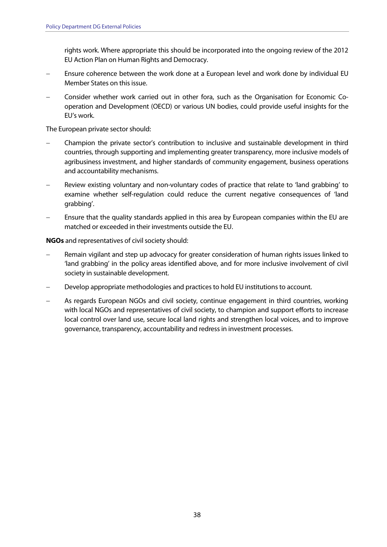rights work. Where appropriate this should be incorporated into the ongoing review of the 2012 EU Action Plan on Human Rights and Democracy.

- Ensure coherence between the work done at a European level and work done by individual EU Member States on this issue.
- Consider whether work carried out in other fora, such as the Organisation for Economic Co- operation and Development (OECD) or various UN bodies, could provide useful insights for the EU's work.

The European private sector should:

- Champion the private sector's contribution to inclusive and sustainable development in third countries, through supporting and implementing greater transparency, more inclusive models of agribusiness investment, and higher standards of community engagement, business operations and accountability mechanisms.
- Review existing voluntary and non-voluntary codes of practice that relate to 'land grabbing' to examine whether self-regulation could reduce the current negative consequences of 'land grabbing'.
- Ensure that the quality standards applied in this area by European companies within the EU are matched or exceeded in their investments outside the EU.

**NGOs** and representatives of civil society should:

- Remain vigilant and step up advocacy for greater consideration of human rights issues linked to 'land grabbing' in the policy areas identified above, and for more inclusive involvement of civil society in sustainable development.
- Develop appropriate methodologies and practices to hold EU institutions to account.
- As regards European NGOs and civil society, continue engagement in third countries, working with local NGOs and representatives of civil society, to champion and support efforts to increase local control over land use, secure local land rights and strengthen local voices, and to improve governance, transparency, accountability and redress in investment processes.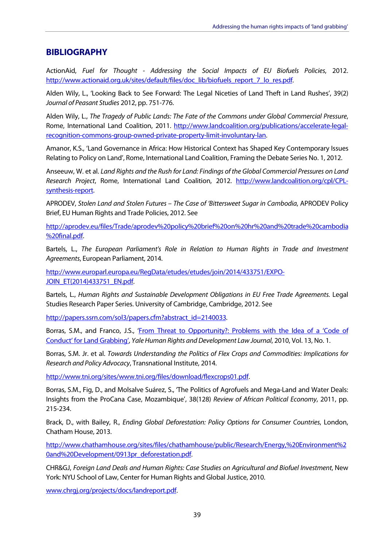### <span id="page-39-0"></span>**BIBLIOGRAPHY**

 $\overline{a}$ ActionAid, Fuel for Thought - Addressing the Social Impacts of EU Biofuels Policies, 2012. http://www.actionaid.org.uk/sites/default/files/doc\_lib/biofuels\_report\_7\_lo\_res.pdf.

 Alden Wily, L., 'Looking Back to See Forward: The Legal Niceties of Land Theft in Land Rushes', 39(2) Journal of Peasant Studies 2012, pp. 751-776.

 Alden Wily, L., The Tragedy of Public Lands: The Fate of the Commons under Global Commercial Pressure, Rome, International Land Coalition, 2011. http://www.landcoalition.org/publications/accelerate-legalrecognition-commons-group-owned-private-property-limit-involuntary-lan.

 Amanor, K.S., 'Land Governance in Africa: How Historical Context has Shaped Key Contemporary Issues Relating to Policy on Land', Rome, International Land Coalition, Framing the Debate Series No. 1, 2012.

 Anseeuw, W. et al. Land Rights and the Rush for Land: Findings of the Global Commercial Pressures on Land Research Project, Rome, International Land Coalition, 2012. http://www.landcoalition.org/cpl/CPLsynthesis-report.

 Brief, EU Human Rights and Trade Policies, 2012. See APRODEV, Stolen Land and Stolen Futures – The Case of 'Bittersweet Sugar in Cambodia, APRODEV Policy

http://aprodev.eu/files/Trade/aprodev%20policy%20brief%20on%20hr%20and%20trade%20cambodia %20final.pdf.

Agreements, European Parliament, 2014. Bartels, L., The European Parliament's Role in Relation to Human Rights in Trade and Investment

http://www.europarl.europa.eu/RegData/etudes/etudes/join/2014/433751/EXPO-JOIN\_ET(2014)433751\_EN.pdf.

 Studies Research Paper Series. University of Cambridge, Cambridge, 2012. See Bartels, L., Human Rights and Sustainable Development Obligations in EU Free Trade Agreements. Legal

http://papers.ssrn.com/sol3/papers.cfm?abstract\_id=2140033.

Borras, S.M., and Franco, J.S., '*From Threat to Opportunity?: Problems with the Idea of a 'Code of* Conduct' for Land Grabbing', Yale Human Rights and Development Law Journal, 2010, Vol. 13, No. 1.

 Borras, S.M. Jr. et al. Towards Understanding the Politics of Flex Crops and Commodities: Implications for Research and Policy Advocacy, Transnational Institute, 2014.

http://www.tni.org/sites/www.tni.org/files/download/flexcrops01.pdf.

 Borras, S.M., Fig, D., and Molsalve Suárez, S., 'The Politics of Agrofuels and Mega-Land and Water Deals: Insights from the ProCana Case, Mozambique', 38(128) Review of African Political Economy, 2011, pp. 215-234.

 Brack, D., with Bailey, R., Ending Global Deforestation: Policy Options for Consumer Countries, London, Chatham House, 2013.

http://www.chathamhouse.org/sites/files/chathamhouse/public/Research/Energy,%20Environment%2 0and%20Development/0913pr\_deforestation.pdf

 York: NYU School of Law, Center for Human Rights and Global Justice, 2010. CHR&GJ, Foreign Land Deals and Human Rights: Case Studies on Agricultural and Biofuel Investment, New

www.chrgj.org/projects/docs/landreport.pdf.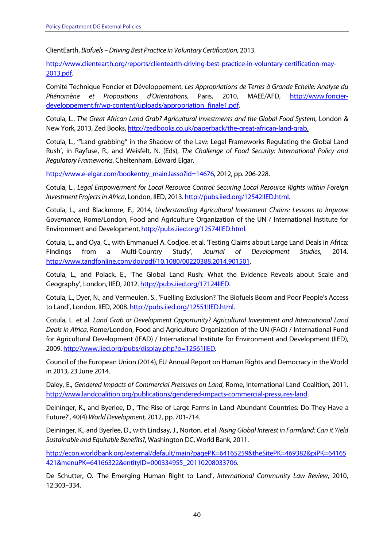ClientEarth, Biofuels – Driving Best Practice in Voluntary Certification, 2013.

http://www.clientearth.org/reports/clientearth-driving-best-practice-in-voluntary-certification-may-2013.pdf.

 Comité Technique Foncier et Développement, Les Appropriations de Terres à Grande Echelle: Analyse du Phénomène et Propositions d'Orientations, Paris, 2010, MAEE/AFD, http://www.foncierdeveloppement.fr/wp-content/uploads/appropriation\_finale1.pdf.

 $\overline{a}$ New York, 2013, Zed Books, http://zedbooks.co.uk/paperback/the-great-african-land-grab. Cotula, L., The Great African Land Grab? Agricultural Investments and the Global Food System, London &

 Cotula, L., '"Land grabbing" in the Shadow of the Law: Legal Frameworks Regulating the Global Land Rush', in Rayfuse, R., and Weisfelt, N. (Eds), The Challenge of Food Security: International Policy and Regulatory Frameworks, Cheltenham, Edward Elgar,

http://www.e-elgar.com/bookentry\_main.lasso?id=14676, 2012, pp. 206-228.

 $\ddot{\phantom{0}}$ Cotula, L., Legal Empowerment for Local Resource Control: Securing Local Resource Rights within Foreign Investment Projectsin Africa, London, IIED, 2013. http://pubs.iied.org/12542IIED.html.

 Cotula, L., and Blackmore, E., 2014, Understanding Agricultural Investment Chains: Lessons to Improve Governance, Rome/London, Food and Agriculture Organization of the UN / International Institute for Environment and Development, http://pubs.iied.org/12574IIED.html.

 Cotula, L., and Oya, C., with Emmanuel A. Codjoe. et al. 'Testing Claims about Large Land Deals in Africa: Findings from a Multi-Country Study', Journal of Development Studies, 2014. http://www.tandfonline.com/doi/pdf/10.1080/00220388.2014.901501.

 Cotula, L., and Polack, E., 'The Global Land Rush: What the Evidence Reveals about Scale and Geography', London, IIED, 2012. http://pubs.iied.org/17124IIED.

 Cotula, L., Dyer, N., and Vermeulen, S., 'Fuelling Exclusion? The Biofuels Boom and Poor People's Access to Land', London, IIED, 2008. http://pubs.iied.org/12551IIED.html.

 Cotula, L. et al. Land Grab or Development Opportunity? Agricultural Investment and International Land  $\ddot{\phantom{a}}$  for Agricultural Development (IFAD) / International Institute for Environment and Development (IIED), Deals in Africa, Rome/London, Food and Agriculture Organization of the UN (FAO) / International Fund 2009. http://www.iied.org/pubs/display.php?o=12561IIED.

 Council of the European Union (2014), EU Annual Report on Human Rights and Democracy in the World in 2013, 23 June 2014.

 $\overline{\phantom{a}}$ Daley, E., Gendered Impacts of Commercial Pressures on Land, Rome, International Land Coalition, 2011. http://www.landcoalition.org/publications/gendered-impacts-commercial-pressures-land.

 Deininger, K., and Byerlee, D., 'The Rise of Large Farms in Land Abundant Countries: Do They Have a Future?', 40(4) WorldDevelopment, 2012, pp. 701-714.

Deininger, K., and Byerlee, D., with Lindsay, J., Norton. et al. Rising Global Interest in Farmland: Can it Yield Sustainable and Equitable Benefits?, Washington DC, World Bank, 2011.

http://econ.worldbank.org/external/default/main?pagePK=64165259&theSitePK=469382&piPK=64165 421&menuPK=64166322&entityID=000334955\_20110208033706.

De Schutter, O. 'The Emerging Human Right to Land', International Community Law Review, 2010, 12:303–334.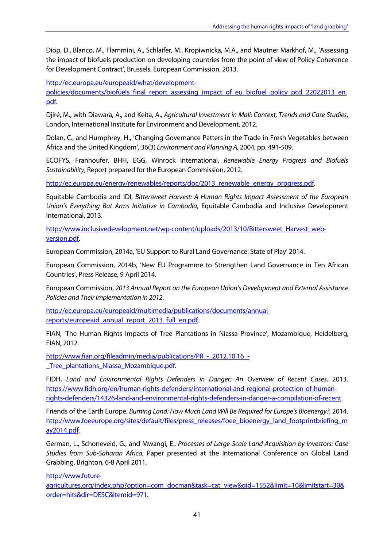Diop, D., Blanco, M., Flammini, A., Schlaifer, M., Kropiwnicka, M.A., and Mautner Markhof, M., 'Assessing the impact of biofuels production on developing countries from the point of view of Policy Coherence for Development Contract', Brussels, European Commission, 2013.

http://ec.europa.eu/europeaid/what/development-

policies/documents/biofuels\_final\_report\_assessing\_impact\_of\_eu\_biofuel\_policy\_pcd\_22022013\_en. pdf.

 Djiré, M., with Diawara, A., and Keita, A., Agricultural Investment in Mali: Context, Trends and Case Studies, London, International Institute for Environment and Development, 2012.

 Dolan, C., and Humphrey, H., 'Changing Governance Patters in the Trade in Fresh Vegetables between Africa and the United Kingdom', 36(3) Environment and Planning A, 2004, pp. 491-509.

 ECOFYS, Franhoufer, BHH, EGG, Winrock International, Renewable Energy Progress and Biofuels Sustainability, Report prepared for the European Commission, 2012.

http://ec.europa.eu/energy/renewables/reports/doc/2013\_renewable\_energy\_progress.pdf.

 Equitable Cambodia and IDI, Bittersweet Harvest: A Human Rights Impact Assessment of the European Union's Everything But Arms Initiative in Cambodia, Equitable Cambodia and Inclusive Development International, 2013.

http://www.inclusivedevelopment.net/wp-content/uploads/2013/10/Bittersweet\_Harvest\_webversion.pdf.

European Commission, 2014a, 'EU Support to Rural Land Governance: State of Play' 2014.

 European Commission, 2014b, 'New EU Programme to Strengthen Land Governance in Ten African Countries', Press Release, 9 April 2014.

 $\ddot{\phantom{0}}$ European Commission, 2013 Annual Report on the European Union's Development and External Assistance Policies and Their Implementation in 2012.

http://ec.europa.eu/europeaid/multimedia/publications/documents/annualreports/europeaid\_annual\_report\_2013\_full\_en.pdf.

 FIAN, 'The Human Rights Impacts of Tree Plantations in Niassa Province', Mozambique, Heidelberg, FIAN, 2012.

http://www.fian.org/fileadmin/media/publications/PR - 2012.10.16 -Tree\_plantations\_Niassa\_Mozambique.pdf.

 $\overline{a}$ FIDH, Land and Environmental Rights Defenders in Danger: An Overview of Recent Cases, 2013. https://www.fidh.org/en/human-rights-defenders/international-and-regional-protection-of-humanrights-defenders/14326-land-and-environmental-rights-defenders-in-danger-a-compilation-of-recent.

 Friends of the Earth Europe, Burning Land: How Much Land Will Be Required for Europe's Bioenergy?, 2014. http://www.foeeurope.org/sites/default/files/press\_releases/foee\_bioenergy\_land\_footprintbriefing\_m ay2014.pdf.

 German, L., Schoneveld, G., and Mwangi, E., Processes of Large-Scale Land Acquisition by Investors: Case Grabbing, Brighton, 6-8 April 2011, Studies from Sub-Saharan Africa, Paper presented at the International Conference on Global Land

http://www.future-

agricultures.org/index.php?option=com\_docman&task=cat\_view&gid=1552&limit=10&limitstart=30& order=hits&dir=DESC&Itemid=971.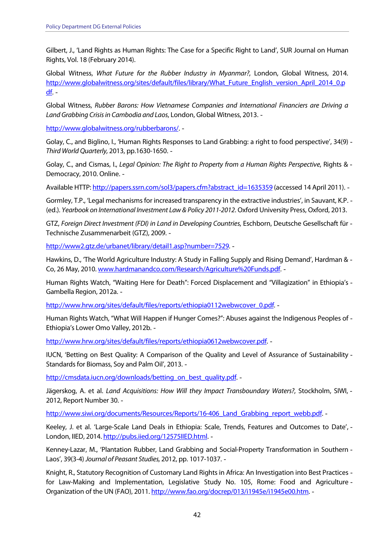Gilbert, J., 'Land Rights as Human Rights: The Case for a Specific Right to Land', SUR Journal on Human Rights, Vol. 18 (February 2014).

 $\ddot{\phantom{0}}$ Global Witness, What Future for the Rubber Industry in Myanmar?, London, Global Witness, 2014. http://www.globalwitness.org/sites/default/files/library/What\_Future\_English\_version\_April\_2014\_0.p <u>df</u>. -

Global Witness, Rubber Barons: How Vietnamese Companies and International Financiers are Driving a Land Grabbing Crisis in Cambodia and Laos, London, Global Witness, 2013. -

http://www.globalwitness.org/rubberbarons/. -

 Golay, C., and Biglino, I., 'Human Rights Responses to Land Grabbing: a right to food perspective', 34(9)  $\overline{a}$ Third World Quarterly, 2013, pp.1630-1650.

Golay, C., and Cismas, I., Legal Opinion: The Right to Property from a Human Rights Perspective, Rights & -Democracy, 2010. Online.

Available HTTP: http://papers.ssrn.com/sol3/papers.cfm?abstract\_id=1635359 (accessed 14 April 2011). -

 Gormley, T.P., 'Legal mechanisms for increased transparency in the extractive industries', in Sauvant, K.P. (ed.). Yearbook on International Investment Law & Policy 2011-2012. Oxford University Press, Oxford, 2013.

 Technische Zusammenarbeit (GTZ), 2009. GTZ, Foreign Direct Investment (FDI) in Land in Developing Countries, Eschborn, Deutsche Gesellschaft für

http://www2.gtz.de/urbanet/library/detail1.asp?number=7529.

 Hawkins, D., 'The World Agriculture Industry: A Study in Falling Supply and Rising Demand', Hardman & Co, 26 May, 2010. www.hardmanandco.com/Research/Agriculture%20Funds.pdf. -

 Human Rights Watch, "Waiting Here for Death": Forced Displacement and "Villagization" in Ethiopia's Gambella Region, 2012a.

http://www.hrw.org/sites/default/files/reports/ethiopia0112webwcover\_0.pdf. -

 Human Rights Watch, "What Will Happen if Hunger Comes?": Abuses against the Indigenous Peoples of Ethiopia's Lower Omo Valley, 2012b.

http://www.hrw.org/sites/default/files/reports/ethiopia0612webwcover.pdf.

 IUCN, 'Betting on Best Quality: A Comparison of the Quality and Level of Assurance of Sustainability Standards for Biomass, Soy and Palm Oil', 2013.

http://cmsdata.iucn.org/downloads/betting\_on\_best\_quality.pdf. -

Jägerskog, A. et al. Land Acquisitions: How Will they Impact Transboundary Waters?, Stockholm, SIWI, -2012, Report Number 30.

http://www.siwi.org/documents/Resources/Reports/16-406 Land Grabbing report webb.pdf. -

 Keeley, J. et al. 'Large-Scale Land Deals in Ethiopia: Scale, Trends, Features and Outcomes to Date', London, IIED, 2014. http://pubs.iied.org/12575IIED.html. -

 Kenney-Lazar, M., 'Plantation Rubber, Land Grabbing and Social-Property Transformation in Southern Laos', 39(3-4) Journal of Peasant Studies, 2012, pp. 1017-1037.

 Knight, R., Statutory Recognition of Customary Land Rights in Africa: An Investigation into Best Practices for Law-Making and Implementation, Legislative Study No. 105, Rome: Food and Agriculture Organization of the UN (FAO), 2011. http://www.fao.org/docrep/013/i1945e/i1945e00.htm.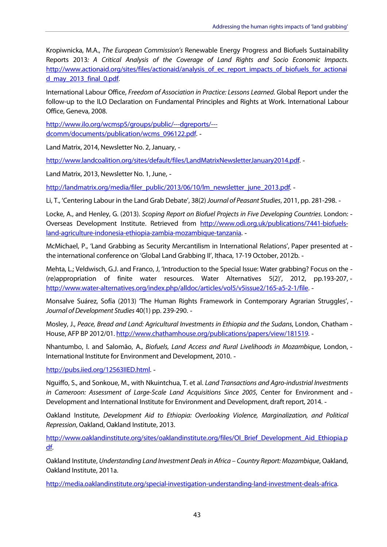$\overline{a}$  $\ddot{\phantom{0}}$ Kropiwnicka, M.A., The European Commission's Renewable Energy Progress and Biofuels Sustainability Reports 2013: A Critical Analysis of the Coverage of Land Rights and Socio Economic Impacts. http://www.actionaid.org/sites/files/actionaid/analysis of ec\_report\_impacts\_of\_biofuels\_for\_actionai d\_may\_2013\_final\_0.pdf.

 International Labour Office, Freedom of Association in Practice: Lessons Learned. Global Report under the follow-up to the ILO Declaration on Fundamental Principles and Rights at Work. International Labour Office, Geneva, 2008.

http://www.ilo.org/wcmsp5/groups/public/---dgreports/-- dcomm/documents/publication/wcms\_096122.pdf. -

Land Matrix, 2014, Newsletter No. 2, January,

http://www.landcoalition.org/sites/default/files/LandMatrixNewsletterJanuary2014.pdf. -

Land Matrix, 2013, Newsletter No. 1, June,

http://landmatrix.org/media/filer\_public/2013/06/10/lm\_newsletter\_june\_2013.pdf. -

Li, T., 'Centering Labour in the Land Grab Debate', 38(2) Journal of Peasant Studies, 2011, pp. 281-298. -

Locke, A., and Henley, G. (2013). Scoping Report on Biofuel Projects in Five Developing Countries. London: -Overseas Development Institute. Retrieved from http://www.odi.org.uk/publications/7441-biofuelsland-agriculture-indonesia-ethiopia-zambia-mozambique-tanzania.

 McMichael, P., 'Land Grabbing as Security Mercantilism in International Relations', Paper presented at the international conference on 'Global Land Grabbing II', Ithaca, 17-19 October, 2012b.

 Mehta, L.; Veldwisch, G.J. and Franco, J, 'Introduction to the Special Issue: Water grabbing? Focus on the (re)appropriation of finite water resources. Water Alternatives 5(2)', 2012, pp.193-207, http://www.water-alternatives.org/index.php/alldoc/articles/vol5/v5issue2/165-a5-2-1/file.

 Monsalve Suárez, Sofía (2013) 'The Human Rights Framework in Contemporary Agrarian Struggles', Journal of Development Studies 40(1) pp. 239-290.

House, AFP BP 2012/01. http://www.chathamhouse.org/publications/papers/view/181519. -Mosley, J., Peace, Bread and Land: Agricultural Investments in Ethiopia and the Sudans, London, Chatham -

 Nhantumbo, I. and Salomão, A., Biofuels, Land Access and Rural Livelihoods in Mozambique, London, International Institute for Environment and Development, 2010.

http://pubs.iied.org/12563IIED.html. -

Nguiffo, S., and Sonkoue, M., with Nkuintchua, T. et al. Land Transactions and Agro-industrial Investments Development and International Institute for Environment and Development, draft report, 2014. in Cameroon: Assessment of Large-Scale Land Acquisitions Since 2005, Center for Environment and -

 Repression, Oakland, Oakland Institute, 2013. Oakland Institute, Development Aid to Ethiopia: Overlooking Violence, Marginalization, and Political

http://www.oaklandinstitute.org/sites/oaklandinstitute.org/files/OI\_Brief\_Development\_Aid\_Ethiopia.p df.

 Oakland Institute, 2011a. Oakland Institute, Understanding Land Investment Dealsin Africa – Country Report: Mozambique, Oakland,

http://media.oaklandinstitute.org/special-investigation-understanding-land-investment-deals-africa.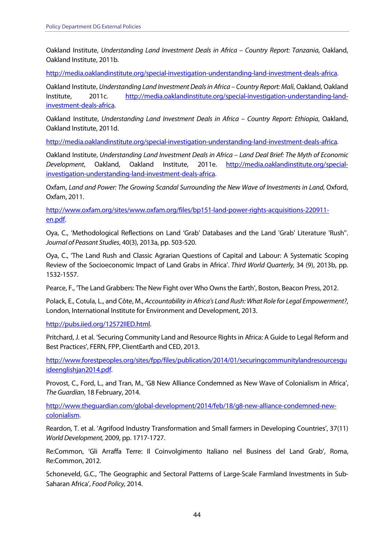$\overline{a}$  Oakland Institute, 2011b. Oakland Institute, Understanding Land Investment Deals in Africa – Country Report: Tanzania, Oakland,

http://media.oaklandinstitute.org/special-investigation-understanding-land-investment-deals-africa.

 $\overline{a}$ Oakland Institute, Understanding Land Investment Dealsin Africa – Country Report: Mali, Oakland, Oakland Institute, 2011c. http://media.oaklandinstitute.org/special-investigation-understanding-landinvestment-deals-africa.

 $\overline{a}$  Oakland Institute, 2011d. Oakland Institute, Understanding Land Investment Deals in Africa – Country Report: Ethiopia, Oakland,

http://media.oaklandinstitute.org/special-investigation-understanding-land-investment-deals-africa.

Development, Oakland Institute, Understanding Land Investment Deals in Africa – Land Deal Brief: The Myth of Economic Oakland, Oakland Institute, 2011e. http://media.oaklandinstitute.org/specialinvestigation-understanding-land-investment-deals-africa.

 $\overline{a}$ Oxfam, Land and Power: The Growing Scandal Surrounding the New Wave of Investments in Land, Oxford, Oxfam, 2011.

http://www.oxfam.org/sites/www.oxfam.org/files/bp151-land-power-rights-acquisitions-220911 en.pdf.

 Oya, C., 'Methodological Reflections on Land 'Grab' Databases and the Land 'Grab' Literature 'Rush''. Journal of Peasant Studies, 40(3), 2013a, pp. 503-520.

 Oya, C., 'The Land Rush and Classic Agrarian Questions of Capital and Labour: A Systematic Scoping Review of the Socioeconomic Impact of Land Grabs in Africa'. Third World Quarterly, 34 (9), 2013b, pp. 1532-1557.

Pearce, F., 'The Land Grabbers: The New Fight over Who Owns the Earth', Boston, Beacon Press, 2012.

 Polack, E., Cotula, L., and Côte, M., Accountability in Africa's Land Rush: What Role for Legal Empowerment?, London, International Institute for Environment and Development, 2013.

http://pubs.iied.org/12572IIED.html.

 Pritchard, J. et al. 'Securing Community Land and Resource Rights in Africa: A Guide to Legal Reform and Best Practices', FERN, FPP, ClientEarth and CED, 2013.

http://www.forestpeoples.org/sites/fpp/files/publication/2014/01/securingcommunitylandresourcesgu ideenglishjan2014.pdf.

 Provost, C., Ford, L., and Tran, M., 'G8 New Alliance Condemned as New Wave of Colonialism in Africa', The Guardian, 18 February, 2014.

http://www.theguardian.com/global-development/2014/feb/18/g8-new-alliance-condemned-newcolonialism.

 Reardon, T. et al. 'Agrifood Industry Transformation and Small farmers in Developing Countries', 37(11) World Development, 2009, pp. 1717-1727.

 Re:Common, 'Gli Arraffa Terre: Il Coinvolgimento Italiano nel Business del Land Grab', Roma, Re:Common, 2012.

 Schoneveld, G.C., 'The Geographic and Sectoral Patterns of Large-Scale Farmland Investments in Sub-Saharan Africa', Food Policy, 2014.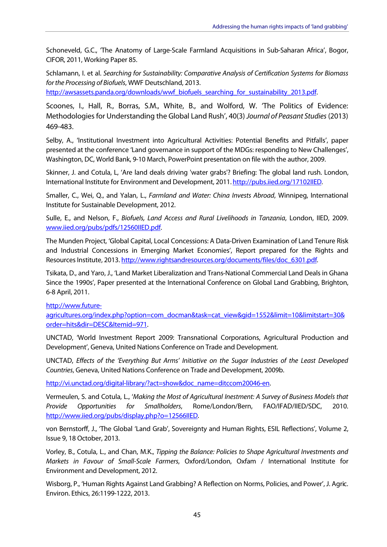Schoneveld, G.C., 'The Anatomy of Large-Scale Farmland Acquisitions in Sub-Saharan Africa', Bogor, CIFOR, 2011, Working Paper 85.

 Schlamann, I. et al. Searching for Sustainability: Comparative Analysis of Certification Systems for Biomass  $\ddot{\phantom{0}}$ for the Processing of Biofuels, WWF Deutschland, 2013.

http://awsassets.panda.org/downloads/wwf\_biofuels\_searching\_for\_sustainability\_2013.pdf.

 Scoones, I., Hall, R., Borras, S.M., White, B., and Wolford, W. 'The Politics of Evidence: Methodologies for Understanding the Global Land Rush', 40(3) Journal of Peasant Studies (2013) 469-483.

 Selby, A., 'Institutional Investment into Agricultural Activities: Potential Benefits and Pitfalls', paper presented at the conference 'Land governance in support of the MDGs: responding to New Challenges', Washington, DC, World Bank, 9-10 March, PowerPoint presentation on file with the author, 2009.

 Skinner, J. and Cotula, L, 'Are land deals driving 'water grabs'? Briefing: The global land rush. London, International Institute for Environment and Development, 2011. http://pubs.iied.org/17102IIED.

Smaller, C., Wei, Q., and Yalan, L., Farmland and Water: China Invests Abroad, Winnipeg, International Institute for Sustainable Development, 2012.

Sulle, E., and Nelson, F., Biofuels, Land Access and Rural Livelihoods in Tanzania, London, IIED, 2009. www.iied.org/pubs/pdfs/12560IIED.pdf.

 The Munden Project, 'Global Capital, Local Concessions: A Data-Driven Examination of Land Tenure Risk and Industrial Concessions in Emerging Market Economies', Report prepared for the Rights and Resources Institute, 2013. http://www.rightsandresources.org/documents/files/doc\_6301.pdf.

 Tsikata, D., and Yaro, J., 'Land Market Liberalization and Trans-National Commercial Land Deals in Ghana Since the 1990s', Paper presented at the International Conference on Global Land Grabbing, Brighton, 6-8 April, 2011.

http://www.future-

agricultures.org/index.php?option=com\_docman&task=cat\_view&gid=1552&limit=10&limitstart=30& order=hits&dir=DESC&Itemid=971.

 UNCTAD, 'World Investment Report 2009: Transnational Corporations, Agricultural Production and Development', Geneva, United Nations Conference on Trade and Development.

 $\ddot{\phantom{0}}$  Countries, Geneva, United Nations Conference on Trade and Development, 2009b. UNCTAD, Effects of the 'Everything But Arms' Initiative on the Sugar Industries of the Least Developed

http://vi.unctad.org/digital-library/?act=show&doc\_name=ditccom20046-en.

 Vermeulen, S. and Cotula, L., 'Making the Most of Agricultural Inestment: A Survey of Business Models that Provide Opportunities for Smallholders, Rome/London/Bern, FAO/IFAD/IIED/SDC, 2010. http://www.iied.org/pubs/display.php?o=12566IIED.

 von Bernstorff, J., 'The Global 'Land Grab', Sovereignty and Human Rights, ESIL Reflections', Volume 2, Issue 9, 18 October, 2013.

 Vorley, B., Cotula, L., and Chan, M.K., Tipping the Balance: Policies to Shape Agricultural Investments and Environment and Development, 2012. Markets in Favour of Small-Scale Farmers, Oxford/London, Oxfam / International Institute for

 Wisborg, P., 'Human Rights Against Land Grabbing? A Reflection on Norms, Policies, and Power', J. Agric. Environ. Ethics, 26:1199-1222, 2013.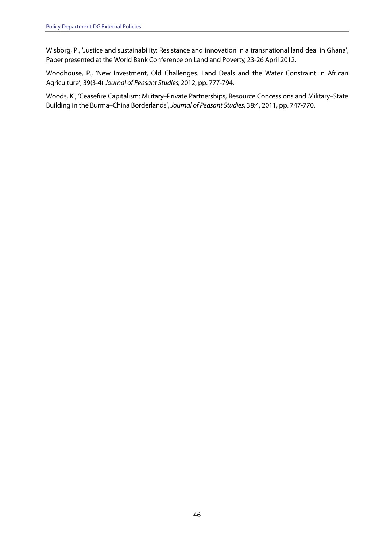Wisborg, P., 'Justice and sustainability: Resistance and innovation in a transnational land deal in Ghana', Paper presented at the World Bank Conference on Land and Poverty, 23-26 April 2012.

 Woodhouse, P., 'New Investment, Old Challenges. Land Deals and the Water Constraint in African Agriculture', 39(3-4) Journal of Peasant Studies, 2012, pp. 777-794.

 Woods, K., 'Ceasefire Capitalism: Military–Private Partnerships, Resource Concessions and Military–State  $\overline{a}$ Building in the Burma–China Borderlands', Journal of Peasant Studies, 38:4, 2011, pp. 747-770.